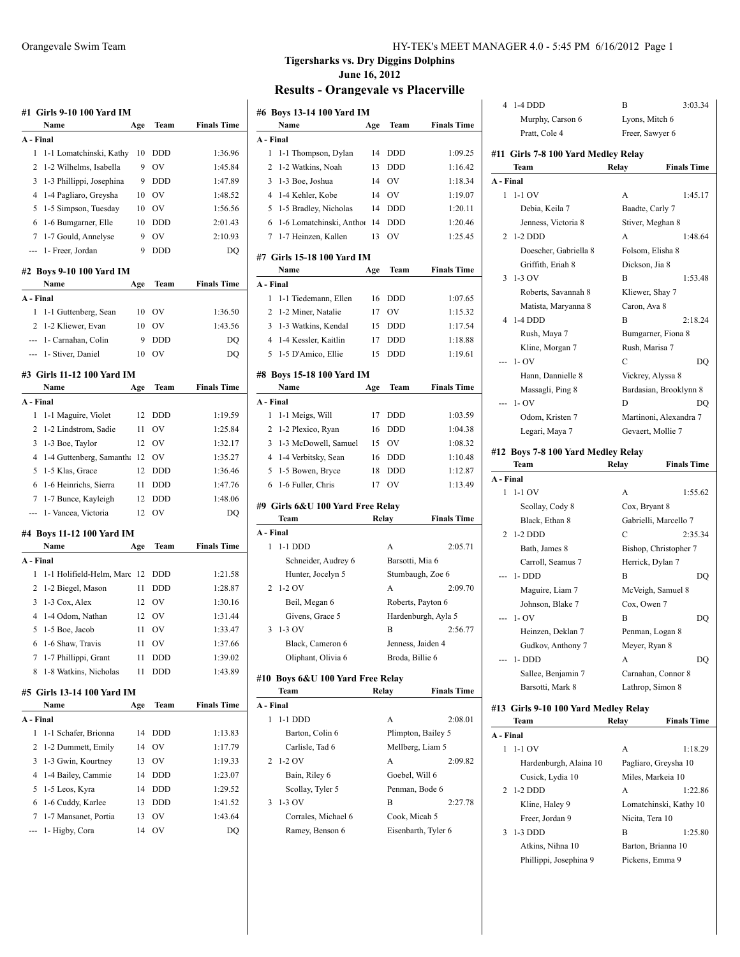| Name                                           | Age | Team             | <b>Finals Time</b> |
|------------------------------------------------|-----|------------------|--------------------|
| A - Final                                      |     |                  |                    |
| 1<br>1-1 Lomatchinski, Kathy                   | 10  | DDD              | 1:36.96            |
| 2<br>1-2 Wilhelms, Isabella                    | 9   | OV               | 1:45.84            |
| 3<br>1-3 Phillippi, Josephina                  | 9   | <b>DDD</b>       | 1:47.89            |
| 4<br>1-4 Pagliaro, Greysha                     | 10  | <b>OV</b>        | 1:48.52            |
| 5<br>1-5 Simpson, Tuesday                      | 10  | OV               | 1:56.56            |
| 6<br>1-6 Bumgarner, Elle                       | 10  | <b>DDD</b>       | 2:01.43            |
| 1-7 Gould, Annelyse<br>7                       | 9   | OV               | 2:10.93            |
| 1- Freer, Jordan<br>---                        | 9   | <b>DDD</b>       | DQ                 |
| #2 Boys 9-10 100 Yard IM<br>Name               | Age | Team             | <b>Finals Time</b> |
| A - Final                                      |     |                  |                    |
| 1<br>1-1 Guttenberg, Sean                      | 10  | OV               | 1:36.50            |
| 2<br>1-2 Kliewer, Evan                         | 10  | OV               | 1:43.56            |
| ---                                            | 9   |                  | DO                 |
| 1- Carnahan, Colin<br>1- Stiver, Daniel<br>--- | 10  | <b>DDD</b><br>OV | DQ                 |
|                                                |     |                  |                    |
| #3 Girls 11-12 100 Yard IM<br>Name             | Age | Team             | <b>Finals Time</b> |
| A - Final                                      |     |                  |                    |
| 1<br>1-1 Maguire, Violet                       | 12  | DDD              | 1:19.59            |
| $\overline{c}$<br>1-2 Lindstrom, Sadie         | 11  | OV               | 1:25.84            |
| 3<br>1-3 Boe, Taylor                           | 12  | OV               | 1:32.17            |
|                                                |     |                  |                    |
| 4<br>1-4 Guttenberg, Samantha                  | 12  | OV               | 1:35.27            |
| 5<br>1-5 Klas, Grace                           | 12  | <b>DDD</b>       | 1:36.46            |
| 6<br>1-6 Heinrichs, Sierra                     | 11  | <b>DDD</b>       | 1:47.76            |
| 7<br>1-7 Bunce, Kayleigh                       | 12  | DDD              | 1:48.06            |
| 1- Vancea, Victoria<br>---                     | 12  | OV               | DQ                 |
| #4 Boys 11-12 100 Yard IM                      |     |                  |                    |
| Name                                           | Age | Team             | <b>Finals Time</b> |
| A - Final                                      |     |                  |                    |
| 1<br>1-1 Holifield-Helm, Marc                  | 12  | DDD              | 1:21.58            |
| 2<br>1-2 Biegel, Mason                         | 11  | DDD              | 1:28.87            |
| 3<br>1-3 Cox, Alex                             | 12  | OV               | 1:30.16            |
| 4<br>1-4 Odom, Nathan                          | 12  | OV               | 1:31.44            |
| 5<br>1-5 Boe, Jacob                            | 11  | OV               | 1:33.47            |
| 1-6 Shaw, Travis<br>6                          | 11  | OV               | 1:37.66            |
| 7<br>1-7 Phillippi, Grant                      | 11  | DDD              | 1:39.02            |
| 8<br>1-8 Watkins, Nicholas                     | 11  | DDD              | 1:43.89            |
| #5  Girls 13-14 100 Yard IM<br>Name            |     |                  |                    |
|                                                | Age | Team             | <b>Finals Time</b> |
| A - Final                                      |     |                  |                    |
|                                                | 14  | DDD              | 1:13.83            |
| 1-1 Schafer, Brionna<br>1                      |     |                  | 1:17.79            |
| $\overline{c}$<br>1-2 Dummett, Emily           | 14  | OV               |                    |
| 3<br>1-3 Gwin, Kourtney                        | 13  | OV               | 1:19.33            |
| 4<br>1-4 Bailey, Cammie                        | 14  | DDD              |                    |
| 5<br>1-5 Leos, Kyra                            | 14  | DDD              | 1:23.07<br>1:29.52 |
| 6<br>1-6 Cuddy, Karlee                         | 13  | DDD              |                    |
| 7<br>1-7 Mansanet, Portia                      | 13  | OV               | 1:41.52<br>1:43.64 |

#### Orangevale Swim Team HY-TEK's MEET MANAGER 4.0 - 5:45 PM 6/16/2012 Page 1

## **Tigersharks vs. Dry Diggins Dolphins June 16, 2012**

## **Results - Orangevale vs Placerville**

|           |              | #6  Boys 13-14 100 Yard IM        |       |                     |                     |
|-----------|--------------|-----------------------------------|-------|---------------------|---------------------|
|           |              | Name                              | Age   | Team                | <b>Finals Time</b>  |
| A - Final |              |                                   |       |                     |                     |
|           | 1            | 1-1 Thompson, Dylan               | 14    | <b>DDD</b>          | 1:09.25             |
|           | 2            | 1-2 Watkins, Noah                 | 13    | DDD                 | 1:16.42             |
|           | 3            | 1-3 Boe, Joshua                   | 14    | OV                  | 1:18.34             |
|           |              | 4 1-4 Kehler, Kobe                | 14    | OV                  | 1:19.07             |
|           |              | 5 1-5 Bradley, Nicholas           | 14    | DDD                 | 1:20.11             |
|           | 6            | 1-6 Lomatchinski, Anthor          | 14    | DDD                 | 1:20.46             |
|           | 7            | 1-7 Heinzen, Kallen               | 13    | OV                  | 1:25.45             |
|           |              | #7  Girls 15-18 100 Yard IM       |       |                     |                     |
|           |              | Name                              | Age   | Team                | <b>Finals Time</b>  |
| A - Final |              |                                   |       |                     |                     |
|           | $\mathbf{1}$ | 1-1 Tiedemann, Ellen              | 16    | <b>DDD</b>          | 1:07.65             |
|           |              | 2 1-2 Miner, Natalie              | 17    | OV                  | 1:15.32             |
|           |              | 3 1-3 Watkins, Kendal             | 15    | <b>DDD</b>          | 1:17.54             |
|           |              | 4 1-4 Kessler, Kaitlin            | 17    | DDD                 | 1:18.88             |
|           | 5            | 1-5 D'Amico, Ellie                | 15    | DDD                 | 1:19.61             |
|           |              |                                   |       |                     |                     |
|           |              | #8  Boys 15-18 100 Yard IM        |       |                     |                     |
|           |              | Name                              | Age   | Team                | <b>Finals Time</b>  |
| A - Final |              |                                   |       |                     |                     |
|           | 1            | 1-1 Meigs, Will                   | 17    | <b>DDD</b>          | 1:03.59             |
|           |              | 2 1-2 Plexico, Ryan               | 16    | <b>DDD</b>          | 1:04.38             |
|           |              | 3 1-3 McDowell, Samuel            |       | 15 OV               | 1:08.32             |
|           |              | 4 1-4 Verbitsky, Sean             | 16    | <b>DDD</b>          | 1:10.48             |
|           |              | 5 1-5 Bowen, Bryce                | 18    | DDD                 | 1:12.87             |
|           | 6            | 1-6 Fuller, Chris                 | 17    | <b>OV</b>           | 1:13.49             |
|           |              |                                   |       |                     |                     |
|           |              | #9  Girls 6&U 100 Yard Free Relay |       |                     | <b>Finals Time</b>  |
|           |              | Team                              |       | Relay               |                     |
| A - Final | 1            |                                   |       | A                   |                     |
|           |              | 1-1 DDD                           |       |                     | 2:05.71             |
|           |              | Schneider, Audrey 6               |       | Barsotti, Mia 6     |                     |
|           |              | Hunter, Jocelyn 5                 |       | Stumbaugh, Zoe 6    |                     |
|           | 2            | $1-2$ OV                          |       | A                   | 2:09.70             |
|           |              | Beil, Megan 6                     |       | Roberts, Payton 6   |                     |
|           |              | Givens, Grace 5                   |       |                     | Hardenburgh, Ayla 5 |
| 3         |              | 1-3 OV                            |       | В                   | 2:56.77             |
|           |              | Black, Cameron 6                  |       | Jenness, Jaiden 4   |                     |
|           |              | Oliphant, Olivia 6                |       | Broda, Billie 6     |                     |
|           |              | #10 Boys 6&U 100 Yard Free Relay  |       |                     |                     |
|           |              | Team                              | Relay |                     | <b>Finals Time</b>  |
| A - Final |              |                                   |       |                     |                     |
| 1         |              | $1-1$ DDD                         |       | А                   | 2:08.01             |
|           |              | Barton, Colin 6                   |       | Plimpton, Bailey 5  |                     |
|           |              | Carlisle, Tad 6                   |       | Mellberg, Liam 5    |                     |
| 2         |              | 1-2 OV                            |       | A                   | 2:09.82             |
|           |              | Bain, Riley 6                     |       | Goebel, Will 6      |                     |
|           |              | Scollay, Tyler 5                  |       | Penman, Bode 6      |                     |
| 3         |              | 1-3 OV                            |       | В                   | 2:27.78             |
|           |              | Corrales, Michael 6               |       | Cook, Micah 5       |                     |
|           |              | Ramey, Benson 6                   |       | Eisenbarth, Tyler 6 |                     |
|           |              |                                   |       |                     |                     |
|           |              |                                   |       |                     |                     |

|           | 4 1-4 DDD                                  | B                                | 3:03.34            |
|-----------|--------------------------------------------|----------------------------------|--------------------|
|           | Murphy, Carson 6                           | Lyons, Mitch 6                   |                    |
|           | Pratt, Cole 4                              | Freer, Sawyer 6                  |                    |
|           |                                            |                                  |                    |
|           | #11 Girls 7-8 100 Yard Medley Relay        |                                  |                    |
|           | Team                                       | Relay                            | <b>Finals Time</b> |
| A - Final |                                            |                                  |                    |
| 1         | $1-1$ OV                                   | A                                | 1:45.17            |
|           | Debia, Keila 7                             | Baadte, Carly 7                  |                    |
|           | Jenness, Victoria 8                        | Stiver, Meghan 8                 |                    |
| 2         | $1-2$ DDD                                  | A                                | 1:48.64            |
|           | Doescher, Gabriella 8                      | Folsom, Elisha 8                 |                    |
|           | Griffith, Eriah 8                          | Dickson, Jia 8                   |                    |
| 3         | $1-3$ OV                                   | B                                | 1:53.48            |
|           | Roberts, Savannah 8                        | Kliewer, Shay 7                  |                    |
|           | Matista, Maryanna 8                        | Caron, Ava 8                     |                    |
| 4         | 1-4 DDD                                    | B                                | 2:18.24            |
|           | Rush, Maya 7                               | Bumgarner, Fiona 8               |                    |
|           | Kline, Morgan 7                            | Rush, Marisa 7                   |                    |
|           | $1 - OV$                                   | C                                | DO                 |
|           | Hann, Dannielle 8                          | Vickrey, Alyssa 8                |                    |
|           | Massagli, Ping 8                           | Bardasian, Brooklynn 8           |                    |
| ---       | $1 - OV$                                   | D                                | DQ                 |
|           | Odom, Kristen 7                            | Martinoni, Alexandra 7           |                    |
|           | Legari, Maya 7                             | Gevaert, Mollie 7                |                    |
|           |                                            |                                  |                    |
|           |                                            |                                  |                    |
|           | #12 Boys 7-8 100 Yard Medley Relay<br>Team |                                  | <b>Finals Time</b> |
| A - Final |                                            | Relay                            |                    |
| 1         | 1-1 OV                                     | A                                | 1:55.62            |
|           | Scollay, Cody 8                            | Cox, Bryant 8                    |                    |
|           | Black, Ethan 8                             | Gabrielli, Marcello 7            |                    |
| 2         | $1-2$ DDD                                  | C                                | 2:35.34            |
|           | Bath, James 8                              | Bishop, Christopher 7            |                    |
|           | Carroll, Seamus 7                          | Herrick, Dylan 7                 |                    |
| ---       | $1 - DDD$                                  | B                                | DO                 |
|           | Maguire, Liam 7                            |                                  |                    |
|           | Johnson, Blake 7                           | McVeigh, Samuel 8<br>Cox, Owen 7 |                    |
|           | $-1 - OV$                                  | B                                | DQ                 |
|           |                                            |                                  |                    |
|           | Heinzen, Deklan 7                          | Penman, Logan 8<br>Meyer, Ryan 8 |                    |
|           | Gudkov, Anthony 7<br>1-DDD                 | A                                | DO                 |
|           |                                            |                                  |                    |
|           | Sallee, Benjamin 7<br>Barsotti, Mark 8     | Carnahan, Connor 8               |                    |
|           |                                            | Lathrop, Simon 8                 |                    |
|           | #13 Girls 9-10 100 Yard Medley Relay       |                                  |                    |
|           | Team                                       | Relay                            | <b>Finals Time</b> |
| A - Final |                                            |                                  |                    |
| 1         | $1-1$ OV                                   | A                                | 1:18.29            |
|           | Hardenburgh, Alaina 10                     | Pagliaro, Greysha 10             |                    |
| 2         | Cusick, Lydia 10<br>$1-2$ DDD              | Miles, Markeia 10<br>А           | 1:22.86            |

Kline, Haley 9 Lomatchinski, Kathy 10 Freer, Jordan 9 Nicita, Tera 10 3 1-3 DDD B 1:25.80 Atkins, Nihna 10 Barton, Brianna 10 Phillippi, Josephina 9 Pickens, Emma 9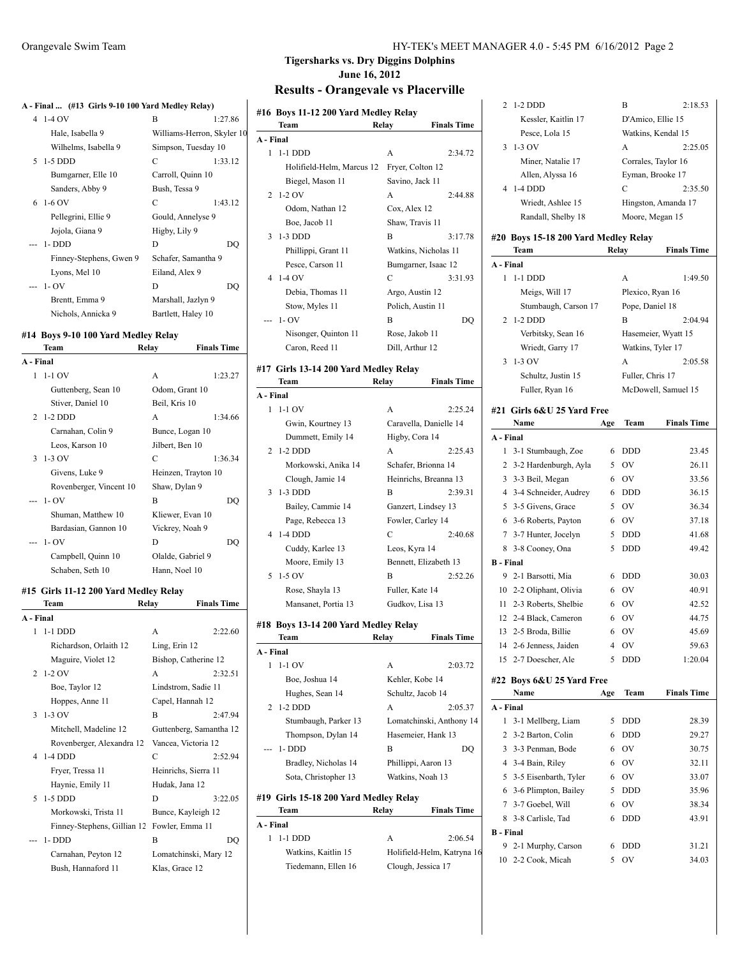#### **A - Final ... (#13 Girls 9-10 100 Yard Medley Relay)**

| A - Final  (#13 Girls 9-10 100 Yard Medley Relay) |                            |         |
|---------------------------------------------------|----------------------------|---------|
| 4 1-4 OV                                          | B                          | 1:27.86 |
| Hale, Isabella 9                                  | Williams-Herron, Skyler 10 |         |
| Wilhelms, Isabella 9                              | Simpson, Tuesday 10        |         |
| 5 1-5 DDD                                         | C                          | 1:33.12 |
| Bumgarner, Elle 10                                | Carroll, Quinn 10          |         |
| Sanders, Abby 9                                   | Bush, Tessa 9              |         |
| $6\;1-6\;0V$                                      | C                          | 1:43.12 |
| Pellegrini, Ellie 9                               | Gould, Annelyse 9          |         |
| Jojola, Giana 9                                   | Higby, Lily 9              |         |
| --- 1-DDD                                         | D                          | DO      |
| Finney-Stephens, Gwen 9                           | Schafer, Samantha 9        |         |
| Lyons, Mel 10                                     | Eiland, Alex 9             |         |
| $-1 - OV$                                         | D                          | DO      |
| Brentt, Emma 9                                    | Marshall, Jazlyn 9         |         |
| Nichols, Annicka 9                                | Bartlett, Haley 10         |         |

#### **#14 Boys 9-10 100 Yard Medley Relay**

|           | Team                    | Relay               | <b>Finals Time</b> |
|-----------|-------------------------|---------------------|--------------------|
| A - Final |                         |                     |                    |
| 1         | $1-1$ OV                | A                   | 1:23.27            |
|           | Guttenberg, Sean 10     | Odom, Grant 10      |                    |
|           | Stiver, Daniel 10       | Beil, Kris 10       |                    |
|           | 2 1-2 DDD               | A                   | 1:34.66            |
|           | Carnahan, Colin 9       | Bunce, Logan 10     |                    |
|           | Leos, Karson 10         | Jilbert, Ben 10     |                    |
|           | $3 \t1-3$ OV            | C                   | 1:36.34            |
|           | Givens, Luke 9          | Heinzen, Trayton 10 |                    |
|           | Rovenberger, Vincent 10 | Shaw, Dylan 9       |                    |
|           | $-1-OV$                 | B                   | DO                 |
|           | Shuman, Matthew 10      | Kliewer, Evan 10    |                    |
|           | Bardasian, Gannon 10    | Vickrey, Noah 9     |                    |
|           | --- 1- OV               | D                   | DO                 |
|           | Campbell, Quinn 10      | Olalde, Gabriel 9   |                    |
|           | Schaben, Seth 10        | Hann, Noel 10       |                    |
|           |                         |                     |                    |

#### **#15 Girls 11-12 200 Yard Medley Relay**

|           | Team                        | Relay          | <b>Finals Time</b>      |
|-----------|-----------------------------|----------------|-------------------------|
| A - Final |                             |                |                         |
| 1         | $1-1$ DDD                   | A              | 2:22.60                 |
|           | Richardson, Orlaith 12      | Ling, Erin 12  |                         |
|           | Maguire, Violet 12          |                | Bishop, Catherine 12    |
|           | $2\;1-2\;0V$                | A              | 2:32.51                 |
|           | Boe, Taylor 12              |                | Lindstrom, Sadie 11     |
|           | Hoppes, Anne 11             |                | Capel, Hannah 12        |
|           | $3 - 1 - 3$ OV              | B              | 2.47.94                 |
|           | Mitchell, Madeline 12       |                | Guttenberg, Samantha 12 |
|           | Rovenberger, Alexandra 12   |                | Vancea, Victoria 12     |
|           | 4 1-4 DDD                   | C              | 2:52.94                 |
|           | Fryer, Tressa 11            |                | Heinrichs, Sierra 11    |
|           | Haynie, Emily 11            | Hudak, Jana 12 |                         |
|           | $5 - 1 - 5$ DDD             | D              | 3:22.05                 |
|           | Morkowski, Trista 11        |                | Bunce, Kayleigh 12      |
|           | Finney-Stephens, Gillian 12 |                | Fowler, Emma 11         |
|           | --- 1-DDD                   | B              | DQ                      |
|           | Carnahan, Peyton 12         |                | Lomatchinski, Mary 12   |
|           | Bush, Hannaford 11          | Klas, Grace 12 |                         |

#### Orangevale Swim Team HY-TEK's MEET MANAGER 4.0 - 5:45 PM 6/16/2012 Page 2

## **Tigersharks vs. Dry Diggins Dolphins June 16, 2012**

# **Results - Orangevale vs Placerville**

| #16 Boys 11-12 200 Yard Medley Relay  |                           |                          |                    |
|---------------------------------------|---------------------------|--------------------------|--------------------|
| Team                                  |                           | Relay                    | <b>Finals Time</b> |
| A - Final                             |                           |                          |                    |
| 1<br>$1-1$ DDD                        |                           | A                        | 2:34.72            |
|                                       | Holifield-Helm, Marcus 12 | Fryer, Colton 12         |                    |
| Biegel, Mason 11                      |                           | Savino, Jack 11          |                    |
| $1-2$ OV<br>2                         |                           | A                        | 2:44.88            |
| Odom, Nathan 12                       |                           | Cox, Alex 12             |                    |
| Boe, Jacob 11                         |                           | Shaw, Travis 11          |                    |
| $1-3$ DDD<br>3                        |                           | B                        | 3:17.78            |
| Phillippi, Grant 11                   |                           | Watkins, Nicholas 11     |                    |
| Pesce, Carson 11                      |                           | Bumgarner, Isaac 12      |                    |
| $1-4$ OV<br>4                         |                           | C                        | 3:31.93            |
| Debia, Thomas 11                      |                           | Argo, Austin 12          |                    |
| Stow, Myles 11                        |                           | Polich, Austin 11        |                    |
| 1- OV<br>---                          |                           | B                        | DQ                 |
|                                       | Nisonger, Quinton 11      | Rose, Jakob 11           |                    |
| Caron, Reed 11                        |                           | Dill, Arthur 12          |                    |
| #17 Girls 13-14 200 Yard Medley Relay |                           |                          |                    |
| Team                                  |                           | Relay                    | <b>Finals Time</b> |
| A - Final                             |                           |                          |                    |
| $1-1$ OV<br>1                         |                           | A                        | 2:25.24            |
| Gwin, Kourtney 13                     |                           | Caravella, Danielle 14   |                    |
| Dummett, Emily 14                     |                           | Higby, Cora 14           |                    |
| $1-2$ DDD<br>2                        |                           | A                        | 2:25.43            |
|                                       | Morkowski, Anika 14       | Schafer, Brionna 14      |                    |
| Clough, Jamie 14                      |                           | Heinrichs, Breanna 13    |                    |
| 1-3 DDD<br>3                          |                           | B                        | 2:39.31            |
| Bailey, Cammie 14                     |                           | Ganzert, Lindsey 13      |                    |
| Page, Rebecca 13                      |                           | Fowler, Carley 14        |                    |
| 1-4 DDD<br>4                          |                           | C                        | 2:40.68            |
| Cuddy, Karlee 13                      |                           | Leos, Kyra 14            |                    |
| Moore, Emily 13                       |                           | Bennett, Elizabeth 13    |                    |
| 5<br>$1-5$ OV                         |                           | В                        | 2:52.26            |
| Rose, Shayla 13                       |                           | Fuller, Kate 14          |                    |
| Mansanet, Portia 13                   |                           | Gudkov, Lisa 13          |                    |
|                                       |                           |                          |                    |
| #18 Boys 13-14 200 Yard Medley Relay  |                           |                          |                    |
| Team                                  |                           | Relay                    | <b>Finals Time</b> |
| A - Final<br>1<br>$1-1$ OV            |                           |                          |                    |
|                                       |                           | А                        | 2:03.72            |
| Boe, Joshua 14                        |                           | Kehler, Kobe 14          |                    |
| Hughes, Sean 14                       |                           | Schultz, Jacob 14        |                    |
| 1-2 DDD<br>2                          |                           | A                        | 2:05.37            |
|                                       | Stumbaugh, Parker 13      | Lomatchinski, Anthony 14 |                    |
| Thompson, Dylan 14                    |                           | Hasemeier, Hank 13       |                    |
| $1 - DDD$                             |                           | В                        | DO                 |
| Bradley, Nicholas 14                  |                           | Phillippi, Aaron 13      |                    |
| Sota, Christopher 13                  |                           | Watkins, Noah 13         |                    |
| #19 Girls 15-18 200 Yard Medley Relay |                           |                          |                    |
| Team                                  |                           | Relay                    | <b>Finals Time</b> |

| al                  |                    |                            |
|---------------------|--------------------|----------------------------|
| -1 DDD              | A                  | 2:06.54                    |
| Watkins, Kaitlin 15 |                    | Holifield-Helm, Katryna 16 |
| Tiedemann, Ellen 16 | Clough, Jessica 17 |                            |

**A - Final**  $1 \t1-1$  DDD Watkins,

|                  | 2 1-2 DDD                                    |        | B                   | 2:18.53            |
|------------------|----------------------------------------------|--------|---------------------|--------------------|
|                  | Kessler, Kaitlin 17                          |        | D'Amico, Ellie 15   |                    |
|                  | Pesce, Lola 15                               |        | Watkins, Kendal 15  |                    |
| 3                | $1-3$ OV                                     |        | A                   | 2:25.05            |
|                  | Miner, Natalie 17                            |        | Corrales, Taylor 16 |                    |
|                  | Allen, Alyssa 16                             |        | Eyman, Brooke 17    |                    |
| 4                | $1-4$ DDD                                    |        | C                   | 2:35.50            |
|                  | Wriedt, Ashlee 15                            |        | Hingston, Amanda 17 |                    |
|                  | Randall, Shelby 18                           |        | Moore, Megan 15     |                    |
|                  |                                              |        |                     |                    |
|                  | #20 Boys 15-18 200 Yard Medley Relay<br>Team | Relay  |                     | <b>Finals Time</b> |
| A - Final        |                                              |        |                     |                    |
|                  | 1 1-1 DDD                                    |        | A                   | 1:49.50            |
|                  | Meigs, Will 17                               |        | Plexico, Ryan 16    |                    |
|                  | Stumbaugh, Carson 17                         |        | Pope, Daniel 18     |                    |
| 2                | $1-2$ DDD                                    |        | B                   | 2:04.94            |
|                  | Verbitsky, Sean 16                           |        | Hasemeier, Wyatt 15 |                    |
|                  | Wriedt, Garry 17                             |        | Watkins, Tyler 17   |                    |
| 3                | $1-3$ OV                                     |        | A                   | 2:05.58            |
|                  | Schultz, Justin 15                           |        | Fuller, Chris 17    |                    |
|                  | Fuller, Ryan 16                              |        | McDowell, Samuel 15 |                    |
|                  |                                              |        |                     |                    |
|                  | #21 Girls 6&U 25 Yard Free                   |        |                     |                    |
|                  | Name                                         | Age    | Team                | <b>Finals Time</b> |
| A - Final        |                                              |        |                     |                    |
| 1                | 3-1 Stumbaugh, Zoe                           | 6      | <b>DDD</b>          | 23.45              |
| $\overline{2}$   | 3-2 Hardenburgh, Ayla                        |        | 5 OV                | 26.11              |
| 3                | 3-3 Beil, Megan                              | 6      | <b>OV</b>           | 33.56              |
| 4                | 3-4 Schneider, Audrey                        | 6      | DDD                 | 36.15              |
| 5                | 3-5 Givens, Grace                            |        | 5 OV                | 36.34              |
|                  | 6 3-6 Roberts, Payton                        | 6      | <b>OV</b>           | 37.18              |
|                  | 7 3-7 Hunter, Jocelyn                        | 5      | <b>DDD</b>          | 41.68              |
|                  | 8 3-8 Cooney, Ona                            | 5      | <b>DDD</b>          | 49.42              |
| <b>B</b> - Final |                                              |        |                     |                    |
|                  | 9 2-1 Barsotti, Mia                          | 6      | DDD                 | 30.03              |
|                  | 10 2-2 Oliphant, Olivia                      |        | 6 OV                | 40.91              |
|                  | 11 2-3 Roberts, Shelbie                      | 6      | 6 OV<br>OV          | 42.52              |
|                  | 12 2-4 Black, Cameron                        | 6      |                     | 44.75              |
| 13               | 2-5 Broda, Billie                            |        | OV                  | 45.69              |
| 14               | 2-6 Jenness, Jaiden<br>2-7 Doescher, Ale     | 4<br>5 | OV                  | 59.63              |
| 15               |                                              |        | DDD                 | 1:20.04            |
|                  | #22 Boys 6&U 25 Yard Free                    |        |                     |                    |
|                  | Name                                         | Age    | Team                | <b>Finals Time</b> |
| A - Final        |                                              |        |                     |                    |
| 1                | 3-1 Mellberg, Liam                           | 5      | <b>DDD</b>          | 28.39              |
| 2                | 3-2 Barton, Colin                            | 6      | DDD                 | 29.27              |
| 3                | 3-3 Penman, Bode                             | 6      | OV                  | 30.75              |
| 4                | 3-4 Bain, Riley                              | 6      | OV                  | 32.11              |
| 5                | 3-5 Eisenbarth, Tyler                        | 6      | OV                  | 33.07              |
| 6                | 3-6 Plimpton, Bailey                         | 5      | <b>DDD</b>          | 35.96              |
| 7                | 3-7 Goebel, Will                             | 6      | OV                  | 38.34              |
| 8                | 3-8 Carlisle, Tad                            | 6      | DDD                 | 43.91              |
| <b>B</b> - Final |                                              |        |                     |                    |
| 9.               | 2-1 Murphy, Carson                           | 6      | DDD                 | 31.21              |
|                  | 10 2-2 Cook, Micah                           | 5      | OV                  | 34.03              |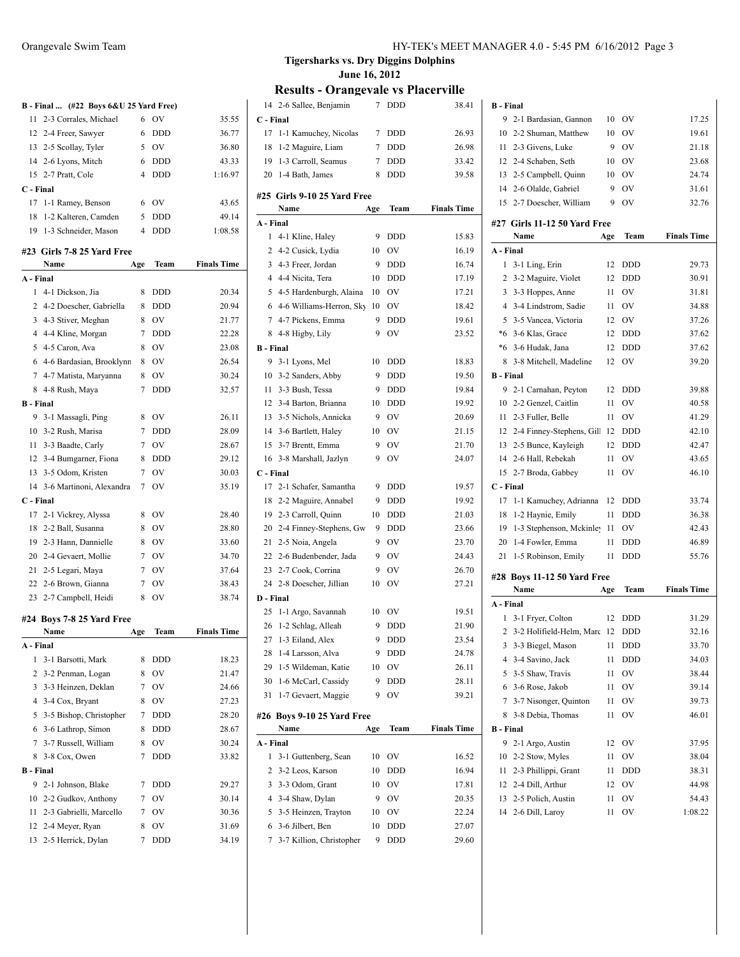|                  | B - Final  (#22 Boys 6&U 25 Yard Free) |                 |                  |                    |
|------------------|----------------------------------------|-----------------|------------------|--------------------|
| 11               | 2-3 Corrales, Michael                  | 6               | OV               | 35.55              |
|                  | 12 2-4 Freer, Sawyer                   | 6               | <b>DDD</b>       | 36.77              |
|                  | 13 2-5 Scollay, Tyler                  | 5               | OV               | 36.80              |
|                  | 14 2-6 Lyons, Mitch                    | 6               | DDD              | 43.33              |
|                  | 15 2-7 Pratt, Cole                     | $\overline{4}$  | <b>DDD</b>       | 1:16.97            |
| C - Final        |                                        |                 |                  |                    |
| 17               | 1-1 Ramey, Benson                      | 6               | OV               | 43.65              |
| 18               | 1-2 Kalteren, Camden                   | 5               | <b>DDD</b>       | 49.14              |
| 19               | 1-3 Schneider, Mason                   | $\overline{4}$  | <b>DDD</b>       | 1:08.58            |
|                  | #23 Girls 7-8 25 Yard Free             |                 |                  |                    |
|                  | Name                                   | Age             | Team             | <b>Finals Time</b> |
| A - Final        |                                        |                 |                  |                    |
| 1                | 4-1 Dickson, Jia                       | 8               | <b>DDD</b>       | 20.34              |
|                  | 2 4-2 Doescher, Gabriella              | 8               | <b>DDD</b>       | 20.94              |
|                  | 3 4-3 Stiver, Meghan                   | 8               | OV               | 21.77              |
|                  | 4 4-4 Kline, Morgan                    | 7               | <b>DDD</b>       | 22.28              |
|                  | 5 4-5 Caron, Ava                       | 8               | OV               | 23.08              |
| 6                | 4-6 Bardasian, Brooklynn               | 8               | OV               | 26.54              |
|                  | 7 4-7 Matista, Maryanna                | 8               | OV               | 30.24              |
| 8                | 4-8 Rush, Maya                         | 7               | <b>DDD</b>       | 32.57              |
| <b>B</b> - Final |                                        |                 |                  |                    |
| 9                | 3-1 Massagli, Ping                     | 8               | <b>OV</b>        | 26.11              |
|                  | 10 3-2 Rush, Marisa                    | $7^{\circ}$     | <b>DDD</b>       | 28.09              |
| 11               | 3-3 Baadte, Carly                      | $7\phantom{.0}$ | <b>OV</b>        | 28.67              |
|                  | 12 3-4 Bumgarner, Fiona                | 8               | <b>DDD</b>       | 29.12              |
|                  | 13 3-5 Odom, Kristen                   | $7\phantom{.0}$ | OV               | 30.03              |
|                  | 14 3-6 Martinoni, Alexandra            | 7               | OV               | 35.19              |
| C - Final        |                                        |                 |                  |                    |
| 17               | 2-1 Vickrey, Alyssa                    | 8               | OV               | 28.40              |
| 18               | 2-2 Ball, Susanna                      | 8               | <b>OV</b>        | 28.80              |
|                  | 19 2-3 Hann, Dannielle                 | 8               | OV               | 33.60              |
|                  | 20 2-4 Gevaert, Mollie                 | $7^{\circ}$     | OV               | 34.70              |
| 21               | 2-5 Legari, Maya                       | $7^{\circ}$     | <b>OV</b>        | 37.64              |
|                  | 22 2-6 Brown, Gianna                   | 7               | OV               | 38.43              |
|                  | 23 2-7 Campbell, Heidi                 | 8               | OV               | 38.74              |
|                  |                                        |                 |                  |                    |
|                  | #24 Boys 7-8 25 Yard Free              |                 | Team             | <b>Finals Time</b> |
| A - Final        | Name                                   | Age             |                  |                    |
| 1                | 3-1 Barsotti, Mark                     | 8               | DDD              | 18.23              |
| 2                | 3-2 Penman, Logan                      | 8               | OV               | 21.47              |
| 3                | 3-3 Heinzen, Deklan                    | 7               | OV               | 24.66              |
|                  | 3-4 Cox, Bryant                        | 8               |                  | 27.23              |
| 4                | 3-5 Bishop, Christopher                |                 | OV<br><b>DDD</b> |                    |
| 5                |                                        | 7               |                  | 28.20              |
| 6                | 3-6 Lathrop, Simon                     | 8               | <b>DDD</b>       | 28.67              |
| 7                | 3-7 Russell, William                   | 8               | OV               | 30.24              |
| 8                | 3-8 Cox, Owen                          | 7               | DDD              | 33.82              |
| <b>B</b> - Final |                                        |                 |                  |                    |
| 9                | 2-1 Johnson, Blake                     | 7               | <b>DDD</b>       | 29.27              |
| 10               | 2-2 Gudkov, Anthony                    | 7               | OV               | 30.14              |
| 11               | 2-3 Gabrielli, Marcello                | 7               | OV               | 30.36              |
| 12               | 2-4 Meyer, Ryan                        | 8               | OV               | 31.69              |
| 13               | 2-5 Herrick, Dylan                     | 7               | DDD              | 34.19              |

|                  | 14 2-6 Sallee, Benjamin     | 7       | DDD                      | 38.41              |
|------------------|-----------------------------|---------|--------------------------|--------------------|
| C - Final        |                             |         |                          |                    |
| 17               | 1-1 Kamuchey, Nicolas       | 7       | <b>DDD</b>               | 26.93              |
| 18               | 1-2 Maguire, Liam           | 7       | <b>DDD</b>               | 26.98              |
|                  | 19 1-3 Carroll, Seamus      | $\tau$  | <b>DDD</b>               | 33.42              |
| 20               | 1-4 Bath, James             | 8       | DDD                      | 39.58              |
|                  |                             |         |                          |                    |
|                  | #25 Girls 9-10 25 Yard Free |         |                          |                    |
| A - Final        | Name                        | Age     | Team                     | <b>Finals Time</b> |
|                  | 1 4-1 Kline, Haley          |         | <b>DDD</b>               | 15.83              |
|                  | 2 4-2 Cusick, Lydia         | 9<br>10 | OV                       | 16.19              |
| 3                | 4-3 Freer, Jordan           |         |                          |                    |
|                  |                             | 9       | <b>DDD</b>               | 16.74              |
|                  | 4 4-4 Nicita, Tera          | 10      | <b>DDD</b>               | 17.19              |
|                  | 5 4-5 Hardenburgh, Alaina   | 10      | OV                       | 17.21              |
|                  | 6 4-6 Williams-Herron, Sky  | 10      | OV                       | 18.42              |
|                  | 7 4-7 Pickens, Emma         | 9       | <b>DDD</b>               | 19.61              |
| <b>B</b> - Final | 8 4-8 Higby, Lily           | 9       | OV                       | 23.52              |
|                  |                             |         | <b>DDD</b>               |                    |
| 9                | 3-1 Lyons, Mel              | 10<br>9 |                          | 18.83<br>19.50     |
|                  | 10 3-2 Sanders, Abby        |         | <b>DDD</b>               |                    |
|                  | 11 3-3 Bush, Tessa          | 9       | <b>DDD</b><br><b>DDD</b> | 19.84              |
|                  | 12 3-4 Barton, Brianna      | 10      |                          | 19.92              |
|                  | 13 3-5 Nichols, Annicka     | 9       | OV                       | 20.69              |
|                  | 14 3-6 Bartlett, Haley      | 10      | OV                       | 21.15              |
| 15               | 3-7 Brentt, Emma            | 9       | <b>OV</b>                | 21.70              |
| 16               | 3-8 Marshall, Jazlyn        | 9       | OV                       | 24.07              |
| C - Final        |                             |         |                          |                    |
|                  | 17 2-1 Schafer, Samantha    | 9       | <b>DDD</b>               | 19.57              |
| 18               | 2-2 Maguire, Annabel        | 9       | <b>DDD</b>               | 19.92              |
| 19               | 2-3 Carroll, Quinn          | 10      | <b>DDD</b>               | 21.03              |
| 20               | 2-4 Finney-Stephens, Gw     | 9       | <b>DDD</b>               | 23.66              |
| 21               | 2-5 Noia, Angela            | 9       | OV                       | 23.70              |
|                  | 22 2-6 Budenbender, Jada    | 9       | OV                       | 24.43              |
| 23               | 2-7 Cook, Corrina           | 9       | OV                       | 26.70              |
| 24               | 2-8 Doescher, Jillian       | 10      | OV                       | 27.21              |
| D - Final        |                             |         |                          |                    |
|                  | 25 1-1 Argo, Savannah       | 10      | OV                       | 19.51              |
| 26               | 1-2 Schlag, Alleah          | 9       | <b>DDD</b>               | 21.90              |
|                  | 27 1-3 Eiland, Alex         | 9       | <b>DDD</b>               | 23.54              |
| 28               | 1-4 Larsson, Alva           | 9       | <b>DDD</b>               | 24.78              |
| 29               | 1-5 Wildeman, Katie         | 10      | OV                       | 26.11              |
| 30               | 1-6 McCarl, Cassidy         | 9       | <b>DDD</b>               | 28.11              |
| 31               | 1-7 Gevaert, Maggie         | 9       | OV                       | 39.21              |
|                  | #26 Boys 9-10 25 Yard Free  |         |                          |                    |
|                  | Name                        | Age     | Team                     | <b>Finals Time</b> |
| A - Final        |                             |         |                          |                    |
| 1                | 3-1 Guttenberg, Sean        | 10      | OV                       | 16.52              |
| 2                | 3-2 Leos, Karson            | 10      | <b>DDD</b>               | 16.94              |
| 3                | 3-3 Odom, Grant             | 10      | <b>OV</b>                | 17.81              |
| 4                | 3-4 Shaw, Dylan             | 9       | <b>OV</b>                | 20.35              |
| 5                | 3-5 Heinzen, Trayton        | 10      | OV                       | 22.24              |
| 6                | 3-6 Jilbert, Ben            | 10      | DDD                      | 27.07              |
|                  | 7 3-7 Killion, Christopher  | 9       | <b>DDD</b>               | 29.60              |

| <b>B</b> - Final |                              |      |            |                    |
|------------------|------------------------------|------|------------|--------------------|
| 9                | 2-1 Bardasian, Gannon        | 10   | OV         | 17.25              |
| 10               | 2-2 Shuman, Matthew          | 10   | OV         | 19.61              |
| 11               | 2-3 Givens, Luke             | 9    | ov         | 21.18              |
|                  | 12 2-4 Schaben, Seth         | 10   | OV         | 23.68              |
|                  | 13 2-5 Campbell, Quinn       | 10   | OV         | 24.74              |
|                  | 14 2-6 Olalde, Gabriel       | 9    | OV         | 31.61              |
|                  | 15 2-7 Doescher, William     | 9    | OV         | 32.76              |
|                  | #27 Girls 11-12 50 Yard Free |      |            |                    |
|                  | Name                         | Age  | Team       | <b>Finals Time</b> |
| A - Final        |                              |      |            |                    |
| 1                | 3-1 Ling, Erin               | 12   | DDD        | 29.73              |
| 2                | 3-2 Maguire, Violet          | 12   | DDD        | 30.91              |
| 3                | 3-3 Hoppes, Anne             | 11   | ov         | 31.81              |
| 4                | 3-4 Lindstrom, Sadie         | 11   | OV         | 34.88              |
| 5                | 3-5 Vancea, Victoria         | 12   | OV         | 37.26              |
|                  | *6 3-6 Klas, Grace           | 12   | <b>DDD</b> | 37.62              |
| $*6$             | 3-6 Hudak, Jana              | 12   | <b>DDD</b> | 37.62              |
| 8                | 3-8 Mitchell, Madeline       | 12   | OV         | 39.20              |
| <b>B</b> - Final |                              |      |            |                    |
| 9                | 2-1 Carnahan, Peyton         | 12   | DDD        | 39.88              |
| 10               | 2-2 Genzel, Caitlin          | 11   | OV         | 40.58              |
| 11               | 2-3 Fuller, Belle            | 11   | OV         | 41.29              |
| 12               | 2-4 Finney-Stephens, Gill    | 12   | <b>DDD</b> | 42.10              |
| 13               | 2-5 Bunce, Kayleigh          | 12   | DDD        | 42.47              |
| 14               | 2-6 Hall, Rebekah            | 11   | OV         | 43.65              |
| 15               | 2-7 Broda, Gabbey            | 11   | OV         | 46.10              |
| C - Final        |                              |      |            |                    |
| 17               | 1-1 Kamuchey, Adrianna       | 12   | DDD        | 33.74              |
| 18               | 1-2 Haynie, Emily            | 11   | DDD        | 36.38              |
| 19               | 1-3 Stephenson, Mckinley     | - 11 | OV         | 42.43              |
| 20               | 1-4 Fowler, Emma             | 11   | DDD        | 46.89              |
| 21               | 1-5 Robinson, Emily          | 11   | <b>DDD</b> | 55.76              |
|                  | #28 Boys 11-12 50 Yard Free  |      |            |                    |
|                  | Name                         | Age  | Team       | <b>Finals Time</b> |
| A - Final        |                              |      |            |                    |
| 1                | 3-1 Fryer, Colton            | 12   | DDD        | 31.29              |
| 2                | 3-2 Holifield-Helm, Marc 12  |      | DDD        | 32.16              |
| 3                | 3-3 Biegel, Mason            | 11   | <b>DDD</b> | 33.70              |
| 4                | 3-4 Savino, Jack             | 11   | <b>DDD</b> | 34.03              |
| 5                | 3-5 Shaw, Travis             | 11   | OV         | 38.44              |
| 6                | 3-6 Rose, Jakob              | 11   | OV         | 39.14              |
| 7                | 3-7 Nisonger, Quinton        | 11   | OV         | 39.73              |
| 8                | 3-8 Debia, Thomas            | 11   | OV         | 46.01              |
| <b>B</b> - Final |                              |      |            |                    |
| 9                | 2-1 Argo, Austin             | 12   | OV         | 37.95              |
| 10               | 2-2 Stow, Myles              | 11   | OV         | 38.04              |
| 11               | 2-3 Phillippi, Grant         | 11   | DDD        | 38.31              |
| 12               | 2-4 Dill, Arthur             | 12   | OV         | 44.98              |
| 13               | 2-5 Polich, Austin           | 11   | OV         | 54.43              |
| 14               | 2-6 Dill, Laroy              | 11   | OV         | 1:08.22            |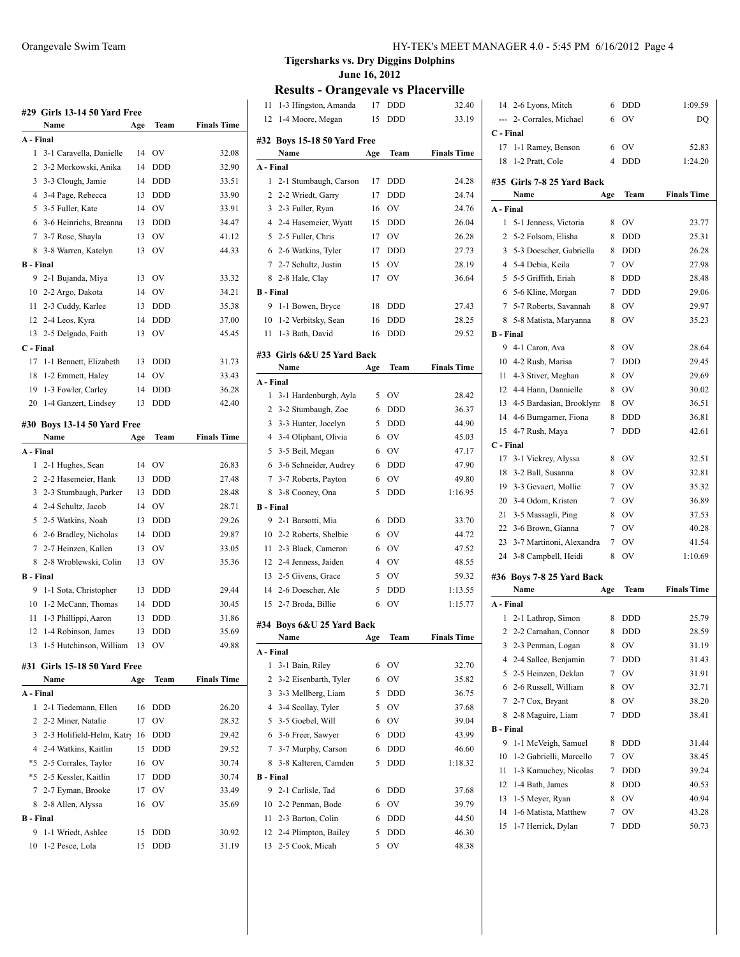## **#29 Girls 13-14 50 Yard Free Name Age Team Finals Time A - Final** 3-1 Caravella, Danielle 14 OV 32.08

|                  | 2 3-2 Morkowski, Anika | 14 | <b>DDD</b> | 32.90 |
|------------------|------------------------|----|------------|-------|
| 3                | 3-3 Clough, Jamie      | 14 | <b>DDD</b> | 33.51 |
| 4                | 3-4 Page, Rebecca      | 13 | <b>DDD</b> | 33.90 |
| 5                | 3-5 Fuller, Kate       | 14 | OV         | 33.91 |
| 6                | 3-6 Heinrichs, Breanna | 13 | <b>DDD</b> | 34.47 |
| 7                | 3-7 Rose, Shayla       | 13 | OV         | 41.12 |
|                  | 8 3-8 Warren, Katelyn  | 13 | OV         | 44.33 |
| <b>B</b> - Final |                        |    |            |       |
|                  | 9 2-1 Bujanda, Miya    | 13 | OV         | 33.32 |
|                  | 10 2-2 Argo, Dakota    | 14 | OV         | 34.21 |
|                  | 11 2-3 Cuddy, Karlee   | 13 | <b>DDD</b> | 35.38 |
|                  | 12 2-4 Leos, Kyra      | 14 | <b>DDD</b> | 37.00 |
|                  | 13 2-5 Delgado, Faith  | 13 | OV         | 45.45 |
| C - Final        |                        |    |            |       |
| 17               | 1-1 Bennett, Elizabeth | 13 | <b>DDD</b> | 31.73 |
| 18               | 1-2 Emmett, Haley      | 14 | OV         | 33.43 |
| 19               | 1-3 Fowler, Carley     | 14 | <b>DDD</b> | 36.28 |
| 20               | 1-4 Ganzert, Lindsey   | 13 | <b>DDD</b> | 42.40 |

#### **#30 Boys 13-14 50 Yard Free**

|                  | Name                    | Age | Team       | <b>Finals Time</b> |
|------------------|-------------------------|-----|------------|--------------------|
| A - Final        |                         |     |            |                    |
|                  | 1 2-1 Hughes, Sean      | 14  | OV         | 26.83              |
|                  | 2 2-2 Hasemeier, Hank   | 13  | <b>DDD</b> | 27.48              |
|                  | 3 2-3 Stumbaugh, Parker | 13  | <b>DDD</b> | 28.48              |
|                  | 4 2-4 Schultz, Jacob    | 14  | OV         | 28.71              |
|                  | 5 2-5 Watkins, Noah     | 13  | <b>DDD</b> | 29.26              |
|                  | 6 2-6 Bradley, Nicholas | 14  | <b>DDD</b> | 29.87              |
|                  | 7 2-7 Heinzen, Kallen   | 13  | OV         | 33.05              |
|                  | 8 2-8 Wroblewski, Colin | 13  | OV         | 35.36              |
| <b>B</b> - Final |                         |     |            |                    |
| 9.               | 1-1 Sota, Christopher   | 13  | <b>DDD</b> | 29.44              |
| 10               | 1-2 McCann, Thomas      | 14  | <b>DDD</b> | 30.45              |
| 11               | 1-3 Phillippi, Aaron    | 13  | <b>DDD</b> | 31.86              |
|                  | 12 1-4 Robinson, James  | 13  | <b>DDD</b> | 35.69              |
| 13               | 1-5 Hutchinson, William | 13  | OV         | 49.88              |
|                  |                         |     |            |                    |

## **#31 Girls 15-18 50 Yard Free**

|                  | Name                        | Age | Team       | <b>Finals Time</b> |
|------------------|-----------------------------|-----|------------|--------------------|
| A - Final        |                             |     |            |                    |
|                  | 1 2-1 Tiedemann, Ellen      | 16  | <b>DDD</b> | 26.20              |
|                  | 2 2-2 Miner, Natalie        | 17  | OV         | 28.32              |
|                  | 3 2-3 Holifield-Helm, Katry | 16  | <b>DDD</b> | 29.42              |
|                  | 4 2-4 Watkins, Kaitlin      | 15  | <b>DDD</b> | 29.52              |
|                  | *5 2-5 Corrales, Taylor     | 16  | OV         | 30.74              |
|                  | *5 2-5 Kessler, Kaitlin     | 17  | <b>DDD</b> | 30.74              |
|                  | 7 2-7 Eyman, Brooke         | 17  | OV         | 33.49              |
|                  | 8 2-8 Allen, Alyssa         |     | 16 OV      | 35.69              |
| <b>B</b> - Final |                             |     |            |                    |
|                  | 9 1-1 Wriedt, Ashlee        | 15  | <b>DDD</b> | 30.92              |
|                  | 10 1-2 Pesce, Lola          | 15  | <b>DDD</b> | 31.19              |

#### **Tigersharks vs. Dry Diggins Dolphins June 16, 2012**

| 11                  | 1-3 Hingston, Amanda                   | 17     | DDD               | 32.40              |
|---------------------|----------------------------------------|--------|-------------------|--------------------|
| 12                  | 1-4 Moore, Megan                       | 15     | DDD               | 33.19              |
|                     | #32 Boys 15-18 50 Yard Free<br>Name    | Age    | Team              | <b>Finals Time</b> |
| A - Final           |                                        |        |                   |                    |
| 1                   | 2-1 Stumbaugh, Carson                  | 17     | <b>DDD</b>        | 24.28              |
| $\overline{c}$      | 2-2 Wriedt, Garry                      | 17     | DDD               | 24.74              |
| 3                   | 2-3 Fuller, Ryan                       | 16     | OV                | 24.76              |
|                     | 4 2-4 Hasemeier, Wyatt                 | 15     | <b>DDD</b>        | 26.04              |
| 5                   | 2-5 Fuller, Chris                      | 17     | OV                | 26.28              |
|                     | 6 2-6 Watkins, Tyler                   | 17     | DDD               | 27.73              |
|                     | 7 2-7 Schultz, Justin                  | 15     | OV                | 28.19              |
|                     | 8 2-8 Hale, Clay                       | 17     | OV                | 36.64              |
| <b>B</b> - Final    |                                        |        |                   |                    |
| 9                   | 1-1 Bowen, Bryce                       | 18     | <b>DDD</b>        | 27.43              |
| 10                  | 1-2 Verbitsky, Sean                    | 16     | DDD               | 28.25              |
| 11                  | 1-3 Bath, David                        | 16     | DDD               | 29.52              |
|                     |                                        |        |                   |                    |
|                     | #33 Girls 6&U 25 Yard Back             |        |                   |                    |
|                     | Name                                   | Age    | Team              | <b>Finals Time</b> |
| A - Final           |                                        |        |                   |                    |
| 1                   | 3-1 Hardenburgh, Ayla                  | 5      | OV                | 28.42              |
| $\overline{c}$<br>3 | 3-2 Stumbaugh, Zoe                     | 6      | <b>DDD</b>        | 36.37              |
|                     | 3-3 Hunter, Jocelyn                    | 5      | <b>DDD</b>        | 44.90              |
| $\overline{4}$      | 3-4 Oliphant, Olivia                   | 6      | OV<br>OV          | 45.03              |
| 5                   | 3-5 Beil, Megan                        | 6      |                   | 47.17              |
| 6                   | 3-6 Schneider, Audrey                  | 6      | <b>DDD</b>        | 47.90              |
| 7<br>8              | 3-7 Roberts, Payton<br>3-8 Cooney, Ona | 6<br>5 | OV<br>DDD         | 49.80<br>1:16.95   |
| <b>B</b> - Final    |                                        |        |                   |                    |
| 9                   | 2-1 Barsotti, Mia                      | 6      | <b>DDD</b>        | 33.70              |
|                     | 10 2-2 Roberts, Shelbie                | 6      | OV                | 44.72              |
| 11                  | 2-3 Black, Cameron                     | 6      | OV                | 47.52              |
| 12                  | 2-4 Jenness, Jaiden                    | 4      | OV                | 48.55              |
| 13                  | 2-5 Givens, Grace                      | 5      | OV                | 59.32              |
|                     | 14 2-6 Doescher, Ale                   | 5      | DDD               | 1:13.55            |
| 15                  | 2-7 Broda, Billie                      | 6      | OV                | 1:15.77            |
|                     |                                        |        |                   |                    |
|                     | #34 Boys 6&U 25 Yard Back              |        |                   |                    |
|                     | Name                                   | Age    | Team              | <b>Finals Time</b> |
| A - Final           |                                        |        |                   |                    |
| 1                   | 3-1 Bain, Riley                        | 6      | OV                | 32.70              |
| 2                   | 3-2 Eisenbarth, Tyler                  | 6      | OV                | 35.82              |
| 3                   | 3-3 Mellberg, Liam                     | 5      | <b>DDD</b>        | 36.75              |
| 4                   | 3-4 Scollay, Tyler                     | 5      | OV                | 37.68              |
| 5                   | 3-5 Goebel, Will                       | 6      | OV                | 39.04              |
|                     | 6 3-6 Freer, Sawyer                    | 6      | DDD<br><b>DDD</b> | 43.99              |
|                     | 7 3-7 Murphy, Carson                   | 6      |                   | 46.60              |
| 8                   | 3-8 Kalteren, Camden                   | 5      | DDD               | 1:18.32            |
| <b>B</b> - Final    |                                        |        |                   |                    |
|                     | 9 2-1 Carlisle, Tad                    | 6      | DDD               | 37.68              |
|                     | 10 2-2 Penman, Bode                    | 6      | OV                | 39.79              |
| 11                  | 2-3 Barton, Colin                      | 6      | <b>DDD</b>        | 44.50              |
| 12                  | 2-4 Plimpton, Bailey                   | 5      | DDD               | 46.30              |
| 13                  | 2-5 Cook, Micah                        | 5      | OV                | 48.38              |

|                  | 14 2-6 Lyons, Mitch         | 6           | DDD            | 1:09.59            |
|------------------|-----------------------------|-------------|----------------|--------------------|
| ---              | 2- Corrales, Michael        | 6           | OV             | DQ                 |
| C - Final        |                             |             |                |                    |
| 17               | 1-1 Ramey, Benson           | 6           | OV             | 52.83              |
| 18               | 1-2 Pratt, Cole             | 4           | <b>DDD</b>     | 1:24.20            |
|                  | #35 Girls 7-8 25 Yard Back  |             |                |                    |
|                  | Name                        | Age         | Team           | <b>Finals Time</b> |
| A - Final        |                             |             |                |                    |
| 1                | 5-1 Jenness, Victoria       | 8           | O <sub>V</sub> | 23.77              |
| $\overline{2}$   | 5-2 Folsom, Elisha          | 8           | DDD            | 25.31              |
| 3                | 5-3 Doescher, Gabriella     | 8           | DDD            | 26.28              |
| 4                | 5-4 Debia, Keila            | 7           | OV             | 27.98              |
| 5                | 5-5 Griffith, Eriah         | 8           | <b>DDD</b>     | 28.48              |
| 6                | 5-6 Kline, Morgan           | 7           | <b>DDD</b>     | 29.06              |
| 7                | 5-7 Roberts, Savannah       | 8           | OV             | 29.97              |
| 8                | 5-8 Matista, Maryanna       | 8           | <b>OV</b>      | 35.23              |
| <b>B</b> - Final |                             |             |                |                    |
| 9                | 4-1 Caron. Ava              | 8           | <b>OV</b>      | 28.64              |
|                  | 10 4-2 Rush, Marisa         | $7^{\circ}$ | <b>DDD</b>     | 29.45              |
| 11               | 4-3 Stiver, Meghan          | 8           | OV             | 29.69              |
|                  | 12 4-4 Hann, Dannielle      | 8           | OV             | 30.02              |
|                  | 13 4-5 Bardasian, Brooklynn | 8           | OV             | 36.51              |
|                  | 14 4-6 Bumgarner, Fiona     | 8           | DDD            | 36.81              |
| 15               | 4-7 Rush, Maya              | 7           | <b>DDD</b>     | 42.61              |
| C - Final        |                             |             |                |                    |
| 17               | 3-1 Vickrey, Alyssa         | 8           | OV             | 32.51              |
| 18               | 3-2 Ball, Susanna           | 8           | <b>OV</b>      | 32.81              |
| 19               | 3-3 Gevaert, Mollie         | $7^{\circ}$ | OV             | 35.32              |
| 20               | 3-4 Odom, Kristen           | $7^{\circ}$ | <b>OV</b>      | 36.89              |
| 21               | 3-5 Massagli, Ping          | 8           | <b>OV</b>      | 37.53              |
| 22               | 3-6 Brown, Gianna           | $7^{\circ}$ | <b>OV</b>      | 40.28              |
| 23               | 3-7 Martinoni, Alexandra    | 7           | OV             | 41.54              |
|                  | 24 3-8 Campbell, Heidi      | 8           | OV             | 1:10.69            |
|                  | #36 Boys 7-8 25 Yard Back   |             |                |                    |
|                  | Name                        | Age         | Team           | <b>Finals Time</b> |
| A - Final        |                             |             |                |                    |
| 1                | 2-1 Lathrop, Simon          | 8           | <b>DDD</b>     | 25.79              |
| 2                | 2-2 Carnahan, Connor        | 8           | <b>DDD</b>     | 28.59              |
| 3                | 2-3 Penman, Logan           | 8           | OV             | 31.19              |
| 4                | 2-4 Sallee, Benjamin        | 7           | <b>DDD</b>     | 31.43              |
| 5                | 2-5 Heinzen, Deklan         | 7           | OV             | 31.91              |
| 6                | 2-6 Russell, William        | 8           | OV             | 32.71              |
| $7\phantom{.0}$  | 2-7 Cox, Bryant             | 8           | ov             | 38.20              |
| 8                | 2-8 Maguire, Liam           | 7           | <b>DDD</b>     | 38.41              |
| <b>B</b> - Final |                             |             |                |                    |
| 9                | 1-1 McVeigh, Samuel         | 8           | DDD            | 31.44              |
| 10               | 1-2 Gabrielli, Marcello     | 7           | OV             | 38.45              |
| 11               | 1-3 Kamuchey, Nicolas       | 7           | DDD            | 39.24              |
| 12               | 1-4 Bath, James             | 8           | DDD            | 40.53              |
| 13               | 1-5 Meyer, Ryan             | 8           | OV             | 40.94              |
| 14               | 1-6 Matista, Matthew        | 7           | OV             | 43.28              |
| 15               | 1-7 Herrick, Dylan          | 7           | DDD            | 50.73              |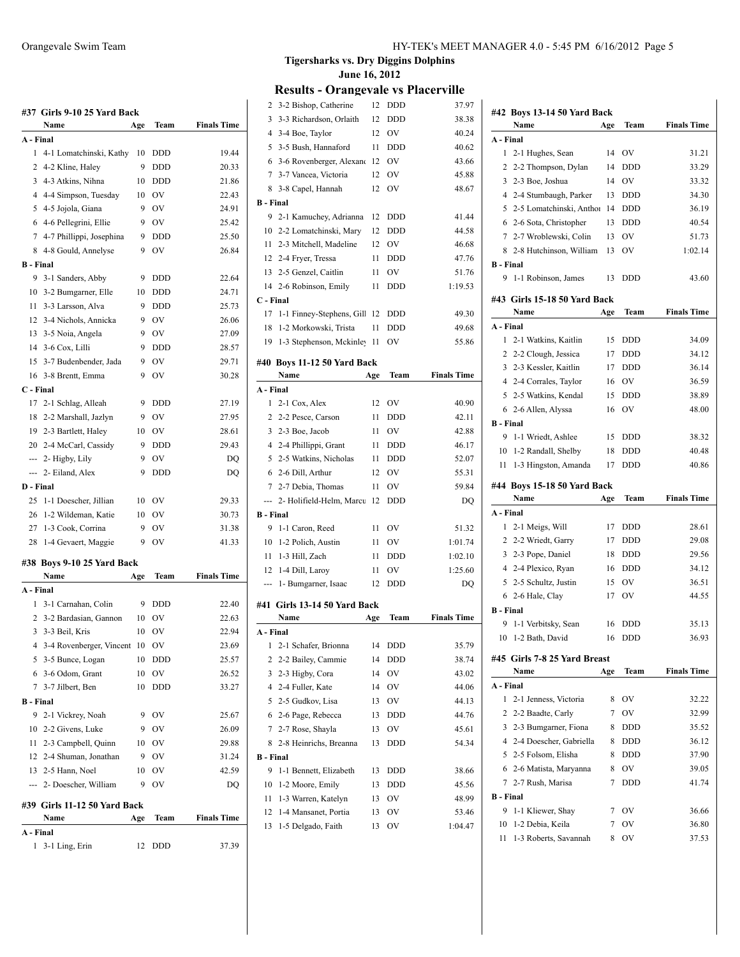## **#37 Girls 9-10 25 Yard Back Name Age Team Finals Time**

| A - Final |                               |     |               |                    |
|-----------|-------------------------------|-----|---------------|--------------------|
| 1         | 4-1 Lomatchinski, Kathy       | 10  | DDD           | 19.44              |
|           | 2 4-2 Kline, Haley            | 9   | DDD           | 20.33              |
|           | 3 4-3 Atkins, Nihna           | 10  | <b>DDD</b>    | 21.86              |
|           | 4 4-4 Simpson, Tuesday        | 10  | <b>OV</b>     | 22.43              |
|           | 5 4-5 Jojola, Giana           | 9   | OV            | 24.91              |
|           | 6 4-6 Pellegrini, Ellie       | 9   | <b>OV</b>     | 25.42              |
|           | 7 4-7 Phillippi, Josephina    | 9   | <b>DDD</b>    | 25.50              |
| 8         | 4-8 Gould, Annelyse           | 9   | OV            | 26.84              |
| B - Final |                               |     |               |                    |
| 9         | 3-1 Sanders, Abby             | 9   | <b>DDD</b>    | 22.64              |
|           | 10 3-2 Bumgarner, Elle        | 10  | <b>DDD</b>    | 24.71              |
|           | 11 3-3 Larsson, Alva          | 9   | <b>DDD</b>    | 25.73              |
|           | 12 3-4 Nichols, Annicka       | 9   | OV            | 26.06              |
|           | 13 3-5 Noia, Angela           | 9   | <b>OV</b>     | 27.09              |
|           | 14 3-6 Cox, Lilli             | 9   | <b>DDD</b>    | 28.57              |
|           | 15 3-7 Budenbender, Jada      | 9   | OV            | 29.71              |
|           | 16 3-8 Brentt, Emma           | 9   | OV            | 30.28              |
| C - Final |                               |     |               |                    |
|           | 17 2-1 Schlag, Alleah         | 9   | <b>DDD</b>    | 27.19              |
|           | 18 2-2 Marshall, Jazlyn       | 9   | OV            | 27.95              |
|           | 19 2-3 Bartlett, Haley        | 10  | <b>OV</b>     | 28.61              |
|           | 20 2-4 McCarl, Cassidy        | 9   | <b>DDD</b>    | 29.43              |
|           | --- 2- Higby, Lily            | 9   | OV            | DQ                 |
|           | --- 2- Eiland, Alex           | 9   | <b>DDD</b>    | DQ                 |
| D - Final |                               |     |               |                    |
| 25        | 1-1 Doescher, Jillian         | 10  | OV            | 29.33              |
|           | 26 1-2 Wildeman, Katie        | 10  | OV            | 30.73              |
|           | 27 1-3 Cook, Corrina          | 9   | OV            | 31.38              |
| 28        | 1-4 Gevaert, Maggie           | 9   | OV            | 41.33              |
|           |                               |     |               |                    |
|           | #38 Boys 9-10 25 Yard Back    |     |               |                    |
|           | Name                          | Age | Team          | <b>Finals Time</b> |
| A - Final |                               |     |               |                    |
| 1         | 3-1 Carnahan, Colin           | 9   | DDD           | 22.40              |
|           | 2 3-2 Bardasian, Gannon       | 10  | <sub>OV</sub> | 22.63              |
|           | 3 3-3 Beil, Kris              | 10  | <sub>OV</sub> | 22.94              |
|           | 4 3-4 Rovenberger, Vincent    | 10  | <b>OV</b>     | 23.69              |
|           | 5 3-5 Bunce, Logan            | 10  | DDD           | 25.57              |
|           | 6 3-6 Odom, Grant             | 10  | <sub>OV</sub> | 26.52              |
|           | 7 3-7 Jilbert, Ben            | 10  | DDD           | 33.27              |
| B - Final |                               |     |               |                    |
| 9         | 2-1 Vickrey, Noah             | 9   | <b>OV</b>     | 25.67              |
|           | 10 2-2 Givens, Luke           | 9   | <b>OV</b>     | 26.09              |
|           | 11 2-3 Campbell, Quinn        | 10  | OV            | 29.88              |
|           | 12 2-4 Shuman, Jonathan       | 9   | OV            | 31.24              |
|           | 13 2-5 Hann, Noel             | 10  | <b>OV</b>     | 42.59              |
|           | --- 2- Doescher, William      | 9   | <b>OV</b>     | DO                 |
|           | #39  Girls 11-12 50 Yard Back |     |               |                    |
|           | Name                          | Age | Team          | <b>Finals Time</b> |
| A - Final |                               |     |               |                    |
| 1         | 3-1 Ling, Erin                | 12  | <b>DDD</b>    | 37.39              |
|           |                               |     |               |                    |

#### **Tigersharks vs. Dry Diggins Dolphins June 16, 2012**

| 2                | 3-2 Bishop, Catherine                      | 12       | DDD        | 37.97              |
|------------------|--------------------------------------------|----------|------------|--------------------|
| 3                | 3-3 Richardson, Orlaith                    | 12       | DDD        | 38.38              |
| 4                | 3-4 Boe, Taylor                            | 12       | OV         | 40.24              |
| 5                | 3-5 Bush, Hannaford                        | 11       | DDD        | 40.62              |
| 6                | 3-6 Rovenberger, Alexand                   | 12       | OV         | 43.66              |
| 7                | 3-7 Vancea, Victoria                       | 12       | OV         | 45.88              |
| 8                | 3-8 Capel, Hannah                          | 12       | OV         | 48.67              |
| <b>B</b> - Final |                                            |          |            |                    |
| 9                | 2-1 Kamuchey, Adrianna                     | 12       | <b>DDD</b> | 41.44              |
| 10               | 2-2 Lomatchinski, Mary                     | 12       | DDD        | 44.58              |
| 11               | 2-3 Mitchell, Madeline                     | 12       | OV         | 46.68              |
|                  | 12 2-4 Fryer, Tressa                       | 11       | DDD        | 47.76              |
|                  | 13 2-5 Genzel, Caitlin                     | 11       | OV         | 51.76              |
| 14               | 2-6 Robinson, Emily                        | 11       | <b>DDD</b> | 1:19.53            |
| C - Final        |                                            |          |            |                    |
| 17               | 1-1 Finney-Stephens, Gill                  | 12       | <b>DDD</b> | 49.30              |
| 18               | 1-2 Morkowski, Trista                      | 11       | DDD        | 49.68              |
| 19               | 1-3 Stephenson, Mckinley                   | 11       | OV         | 55.86              |
|                  | #40 Boys 11-12 50 Yard Back                |          |            |                    |
|                  | Name                                       | Age      | Team       | <b>Finals Time</b> |
| A - Final        |                                            |          |            |                    |
| 1                | 2-1 Cox, Alex                              | 12       | OV         | 40.90              |
| 2                | 2-2 Pesce, Carson                          | 11       | DDD        | 42.11              |
|                  | 3 2-3 Boe, Jacob                           | 11       | OV         | 42.88              |
|                  | 4 2-4 Phillippi, Grant                     | 11       | DDD        | 46.17              |
| 5                | 2-5 Watkins, Nicholas                      | 11       | DDD        | 52.07              |
| 6                | 2-6 Dill, Arthur                           | 12       | OV         | 55.31              |
| 7                | 2-7 Debia, Thomas                          | 11       | OV         | 59.84              |
| ---              | 2- Holifield-Helm, Marcu                   | 12       | <b>DDD</b> | DQ                 |
| <b>B</b> - Final |                                            |          |            |                    |
| 9                | 1-1 Caron, Reed                            | 11       | OV         | 51.32              |
| 10               | 1-2 Polich, Austin                         | 11       | OV         | 1:01.74            |
| 11               | 1-3 Hill, Zach                             | 11       | DDD        | 1:02.10            |
| 12               | 1-4 Dill, Laroy                            | 11       | OV         | 1:25.60            |
| ---              | 1- Bumgarner, Isaac                        | 12       | <b>DDD</b> | DQ                 |
|                  |                                            |          |            |                    |
|                  | #41 Girls 13-14 50 Yard Back               |          |            |                    |
|                  | Name                                       | Age      | Team       | <b>Finals Time</b> |
| A - Final<br>1   | 2-1 Schafer, Brionna                       | 14       | DDD        | 35.79              |
| 2                | 2-2 Bailey, Cammie                         | 14       | DDD        | 38.74              |
| 3                | 2-3 Higby, Cora                            | 14       | OV         | 43.02              |
| 4                | 2-4 Fuller, Kate                           | 14       | OV         | 44.06              |
| 5                | 2-5 Gudkov, Lisa                           | 13       | OV         | 44.13              |
| 6                | 2-6 Page, Rebecca                          | 13       | DDD        | 44.76              |
| 7                | 2-7 Rose, Shayla                           | 13       | OV         | 45.61              |
| 8                | 2-8 Heinrichs, Breanna                     | 13       | <b>DDD</b> | 54.34              |
| <b>B</b> - Final |                                            |          |            |                    |
| 9                | 1-1 Bennett, Elizabeth                     | 13       | DDD        | 38.66              |
| 10               | 1-2 Moore, Emily                           | 13       | DDD        | 45.56              |
| 11               | 1-3 Warren, Katelyn                        | 13       | OV         | 48.99              |
| 12               |                                            |          |            |                    |
|                  |                                            |          |            |                    |
| 13               | 1-4 Mansanet, Portia<br>1-5 Delgado, Faith | 13<br>13 | OV<br>OV   | 53.46<br>1:04.47   |

|                             | #42 Boys 13-14 50 Yard Back  |     |            |                    |  |
|-----------------------------|------------------------------|-----|------------|--------------------|--|
|                             | Name                         | Age | Team       | <b>Finals Time</b> |  |
| A - Final                   |                              |     |            |                    |  |
| 1                           | 2-1 Hughes, Sean             | 14  | OV         | 31.21              |  |
|                             | 2 2-2 Thompson, Dylan        | 14  | DDD        | 33.29              |  |
|                             | 3 2-3 Boe, Joshua            | 14  | OV         | 33.32              |  |
|                             | 4 2-4 Stumbaugh, Parker      | 13  | <b>DDD</b> | 34.30              |  |
| 5                           | 2-5 Lomatchinski, Anthor     | 14  | <b>DDD</b> | 36.19              |  |
| 6                           | 2-6 Sota, Christopher        | 13  | <b>DDD</b> | 40.54              |  |
| 7                           | 2-7 Wroblewski, Colin        | 13  | OV         | 51.73              |  |
| 8                           | 2-8 Hutchinson, William      | 13  | OV         | 1:02.14            |  |
| <b>B</b> - Final            |                              |     |            |                    |  |
| 9                           | 1-1 Robinson, James          | 13  | DDD        | 43.60              |  |
|                             |                              |     |            |                    |  |
|                             | #43 Girls 15-18 50 Yard Back |     |            |                    |  |
|                             | Name                         | Age | Team       | <b>Finals Time</b> |  |
| A - Final                   |                              |     |            |                    |  |
| 1                           | 2-1 Watkins, Kaitlin         | 15  | <b>DDD</b> | 34.09              |  |
| 2                           | 2-2 Clough, Jessica          | 17  | <b>DDD</b> | 34.12              |  |
| 3                           | 2-3 Kessler, Kaitlin         | 17  | <b>DDD</b> | 36.14              |  |
|                             | 4 2-4 Corrales, Taylor       | 16  | OV         | 36.59              |  |
| 5                           | 2-5 Watkins, Kendal          | 15  | <b>DDD</b> | 38.89              |  |
|                             | 6 2-6 Allen, Alyssa          | 16  | OV         | 48.00              |  |
| <b>B</b> - Final            |                              |     |            |                    |  |
| 9                           | 1-1 Wriedt, Ashlee           | 15  | DDD        | 38.32              |  |
| 10                          | 1-2 Randall, Shelby          | 18  | DDD        | 40.48              |  |
| 11                          | 1-3 Hingston, Amanda         | 17  | DDD        | 40.86              |  |
| #44 Boys 15-18 50 Yard Back |                              |     |            |                    |  |
|                             |                              |     |            |                    |  |
|                             | Name                         | Age | Team       | <b>Finals Time</b> |  |
| A - Final                   |                              |     |            |                    |  |
| 1                           | 2-1 Meigs, Will              | 17  | <b>DDD</b> | 28.61              |  |
| 2                           | 2-2 Wriedt, Garry            | 17  | <b>DDD</b> | 29.08              |  |
|                             | 3 2-3 Pope, Daniel           | 18  | <b>DDD</b> | 29.56              |  |
|                             | 4 2-4 Plexico, Ryan          | 16  | <b>DDD</b> | 34.12              |  |
|                             | 5 2-5 Schultz, Justin        | 15  | OV         | 36.51              |  |
|                             | 6 2-6 Hale, Clay             | 17  | OV         | 44.55              |  |
| <b>B</b> - Final            |                              |     |            |                    |  |
| 9                           | 1-1 Verbitsky, Sean          | 16  | DDD        | 35.13              |  |
|                             | 10 1-2 Bath, David           | 16  | DDD        | 36.93              |  |
|                             | #45 Girls 7-8 25 Yard Breast |     |            |                    |  |
|                             | Name                         | Age | Team       | <b>Finals Time</b> |  |
| A - Final                   |                              |     |            |                    |  |
| 1                           | 2-1 Jenness, Victoria        | 8   | OV         | 32.22              |  |
| 2                           | 2-2 Baadte, Carly            | 7   | OV         | 32.99              |  |
| 3                           | 2-3 Bumgarner, Fiona         | 8   | DDD        | 35.52              |  |
| $\overline{4}$              | 2-4 Doescher, Gabriella      | 8   | DDD        | 36.12              |  |
| 5                           | 2-5 Folsom, Elisha           | 8   | DDD        | 37.90              |  |
| 6                           | 2-6 Matista, Maryanna        | 8   | OV         | 39.05              |  |
| 7                           | 2-7 Rush, Marisa             | 7   | DDD        | 41.74              |  |
| <b>B</b> - Final            |                              |     |            |                    |  |
| 9                           | 1-1 Kliewer, Shay            | 7   | OV         | 36.66              |  |
| 10                          | 1-2 Debia, Keila             | 7   | OV         | 36.80              |  |
| 11                          | 1-3 Roberts, Savannah        | 8   | OV         | 37.53              |  |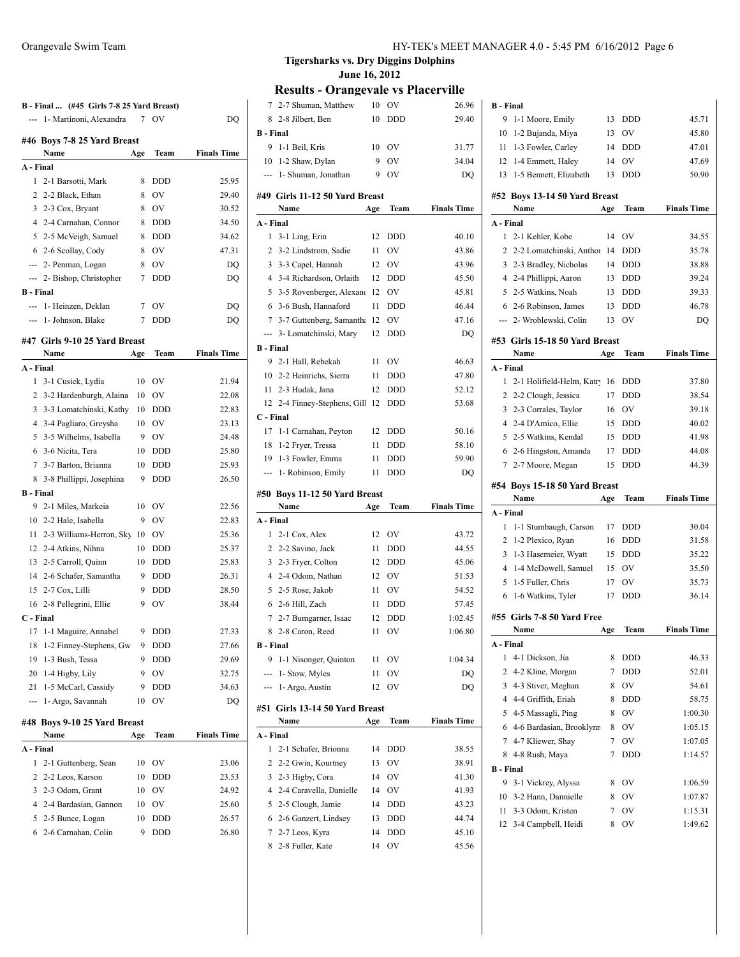| B - Final  (#45 Girls 7-8 25 Yard Breast)                                                                                                                                                                                                                                                                                                                                                                                                                                  |                               |                |            |                    |
|----------------------------------------------------------------------------------------------------------------------------------------------------------------------------------------------------------------------------------------------------------------------------------------------------------------------------------------------------------------------------------------------------------------------------------------------------------------------------|-------------------------------|----------------|------------|--------------------|
|                                                                                                                                                                                                                                                                                                                                                                                                                                                                            | 1 - Martinoni, Alexandra      | $\overline{7}$ | OV         | DO                 |
|                                                                                                                                                                                                                                                                                                                                                                                                                                                                            | #46 Boys 7-8 25 Yard Breast   |                |            |                    |
|                                                                                                                                                                                                                                                                                                                                                                                                                                                                            | Name                          | Age            | Team       | <b>Finals Time</b> |
| A - Final                                                                                                                                                                                                                                                                                                                                                                                                                                                                  |                               |                |            |                    |
| 1                                                                                                                                                                                                                                                                                                                                                                                                                                                                          | 2-1 Barsotti, Mark            | 8              | <b>DDD</b> | 25.95              |
|                                                                                                                                                                                                                                                                                                                                                                                                                                                                            | 2 2-2 Black, Ethan            | 8              | OV         | 29.40              |
|                                                                                                                                                                                                                                                                                                                                                                                                                                                                            | 3 2-3 Cox, Bryant             | 8              | <b>OV</b>  | 30.52              |
|                                                                                                                                                                                                                                                                                                                                                                                                                                                                            | 4 2-4 Carnahan, Connor        | 8              | <b>DDD</b> | 34.50              |
|                                                                                                                                                                                                                                                                                                                                                                                                                                                                            | 5 2-5 McVeigh, Samuel         | 8              | <b>DDD</b> | 34.62              |
|                                                                                                                                                                                                                                                                                                                                                                                                                                                                            | 6 2-6 Scollay, Cody           | 8              | <b>OV</b>  | 47.31              |
|                                                                                                                                                                                                                                                                                                                                                                                                                                                                            | --- 2- Penman, Logan          | 8              | <b>OV</b>  | DQ                 |
|                                                                                                                                                                                                                                                                                                                                                                                                                                                                            | --- 2- Bishop, Christopher    | 7              | <b>DDD</b> | DQ                 |
| <b>B</b> - Final                                                                                                                                                                                                                                                                                                                                                                                                                                                           |                               |                |            |                    |
| $-$                                                                                                                                                                                                                                                                                                                                                                                                                                                                        | 1- Heinzen, Deklan            | 7              | OV         | DQ                 |
| $\frac{1}{2} \left( \frac{1}{2} \right) \left( \frac{1}{2} \right) \left( \frac{1}{2} \right) \left( \frac{1}{2} \right) \left( \frac{1}{2} \right) \left( \frac{1}{2} \right) \left( \frac{1}{2} \right) \left( \frac{1}{2} \right) \left( \frac{1}{2} \right) \left( \frac{1}{2} \right) \left( \frac{1}{2} \right) \left( \frac{1}{2} \right) \left( \frac{1}{2} \right) \left( \frac{1}{2} \right) \left( \frac{1}{2} \right) \left( \frac{1}{2} \right) \left( \frac$ | 1- Johnson, Blake             | 7              | <b>DDD</b> | DQ                 |
|                                                                                                                                                                                                                                                                                                                                                                                                                                                                            | #47 Girls 9-10 25 Yard Breast |                |            |                    |
|                                                                                                                                                                                                                                                                                                                                                                                                                                                                            | Name                          | Age            | Team       | <b>Finals Time</b> |
| A - Final                                                                                                                                                                                                                                                                                                                                                                                                                                                                  |                               |                |            |                    |
| 1                                                                                                                                                                                                                                                                                                                                                                                                                                                                          | 3-1 Cusick, Lydia             | 10             | OV         | 21.94              |
| 2                                                                                                                                                                                                                                                                                                                                                                                                                                                                          | 3-2 Hardenburgh, Alaina       | 10             | OV         | 22.08              |
| 3                                                                                                                                                                                                                                                                                                                                                                                                                                                                          | 3-3 Lomatchinski, Kathy       | 10             | <b>DDD</b> | 22.83              |
|                                                                                                                                                                                                                                                                                                                                                                                                                                                                            | 4 3-4 Pagliaro, Greysha       | 10             | <b>OV</b>  | 23.13              |
| 5.                                                                                                                                                                                                                                                                                                                                                                                                                                                                         | 3-5 Wilhelms, Isabella        | 9              | OV         | 24.48              |
|                                                                                                                                                                                                                                                                                                                                                                                                                                                                            | 6 3-6 Nicita, Tera            | 10             | DDD        | 25.80              |
| 7                                                                                                                                                                                                                                                                                                                                                                                                                                                                          | 3-7 Barton, Brianna           | 10             | <b>DDD</b> | 25.93              |
|                                                                                                                                                                                                                                                                                                                                                                                                                                                                            | 8 3-8 Phillippi, Josephina    | 9              | <b>DDD</b> | 26.50              |
| <b>B</b> - Final                                                                                                                                                                                                                                                                                                                                                                                                                                                           |                               |                |            |                    |
|                                                                                                                                                                                                                                                                                                                                                                                                                                                                            | 9 2-1 Miles, Markeia          | 10             | OV         | 22.56              |
|                                                                                                                                                                                                                                                                                                                                                                                                                                                                            | 10 2-2 Hale, Isabella         | 9              | OV         | 22.83              |
| 11                                                                                                                                                                                                                                                                                                                                                                                                                                                                         | 2-3 Williams-Herron, Sky      | 10             | OV         | 25.36              |
|                                                                                                                                                                                                                                                                                                                                                                                                                                                                            | 12 2-4 Atkins, Nihna          | 10             | DDD        | 25.37              |
|                                                                                                                                                                                                                                                                                                                                                                                                                                                                            | 13 2-5 Carroll, Quinn         | 10             | <b>DDD</b> | 25.83              |
|                                                                                                                                                                                                                                                                                                                                                                                                                                                                            | 14 2-6 Schafer, Samantha      | 9              | <b>DDD</b> | 26.31              |
|                                                                                                                                                                                                                                                                                                                                                                                                                                                                            | 15 2-7 Cox, Lilli             | 9              | <b>DDD</b> | 28.50              |
|                                                                                                                                                                                                                                                                                                                                                                                                                                                                            | 16 2-8 Pellegrini, Ellie      | 9              | OV         | 38.44              |
| C - Final                                                                                                                                                                                                                                                                                                                                                                                                                                                                  |                               |                |            |                    |
|                                                                                                                                                                                                                                                                                                                                                                                                                                                                            | 17 1-1 Maguire, Annabel       | 9              | <b>DDD</b> | 27.33              |
| 18                                                                                                                                                                                                                                                                                                                                                                                                                                                                         | 1-2 Finney-Stephens, Gw       | 9              | DDD        | 27.66              |
| 19                                                                                                                                                                                                                                                                                                                                                                                                                                                                         | 1-3 Bush, Tessa               | 9              | DDD        | 29.69              |
| 20                                                                                                                                                                                                                                                                                                                                                                                                                                                                         | 1-4 Higby, Lily               | 9              | ov         | 32.75              |
| 21                                                                                                                                                                                                                                                                                                                                                                                                                                                                         | 1-5 McCarl, Cassidy           | 9              | DDD        | 34.63              |
| ---                                                                                                                                                                                                                                                                                                                                                                                                                                                                        | 1- Argo, Savannah             | 10             | OV         | DQ                 |
|                                                                                                                                                                                                                                                                                                                                                                                                                                                                            | #48 Boys 9-10 25 Yard Breast  |                |            |                    |
|                                                                                                                                                                                                                                                                                                                                                                                                                                                                            | Name                          | Age            | Team       | <b>Finals Time</b> |
| A - Final                                                                                                                                                                                                                                                                                                                                                                                                                                                                  |                               |                |            |                    |
| 1                                                                                                                                                                                                                                                                                                                                                                                                                                                                          | 2-1 Guttenberg, Sean          | 10             | OV         | 23.06              |
| 2                                                                                                                                                                                                                                                                                                                                                                                                                                                                          | 2-2 Leos, Karson              | 10             | DDD        | 23.53              |
| 3                                                                                                                                                                                                                                                                                                                                                                                                                                                                          | 2-3 Odom, Grant               | 10             | OV         | 24.92              |
| 4                                                                                                                                                                                                                                                                                                                                                                                                                                                                          | 2-4 Bardasian, Gannon         | 10             | ov         | 25.60              |
| 5                                                                                                                                                                                                                                                                                                                                                                                                                                                                          | 2-5 Bunce, Logan              | 10             | DDD        | 26.57              |
| 6                                                                                                                                                                                                                                                                                                                                                                                                                                                                          | 2-6 Carnahan, Colin           | 9              | DDD        | 26.80              |

| 7                | 2-7 Shuman, Matthew            | 10  | OV         | 26.96              |
|------------------|--------------------------------|-----|------------|--------------------|
| 8                | 2-8 Jilbert, Ben               | 10  | DDD        | 29.40              |
| <b>B</b> - Final |                                |     |            |                    |
| 9                | 1-1 Beil, Kris                 | 10  | OV         | 31.77              |
| 10               | 1-2 Shaw, Dylan                | 9   | OV         | 34.04              |
| ---              | 1- Shuman, Jonathan            | 9   | OV         | DQ                 |
|                  | #49 Girls 11-12 50 Yard Breast |     |            |                    |
|                  | Name                           | Age | Team       | <b>Finals Time</b> |
| A - Final        |                                |     |            |                    |
| 1                | 3-1 Ling, Erin                 | 12  | DDD        | 40.10              |
| 2                | 3-2 Lindstrom, Sadie           | 11  | OV         | 43.86              |
| 3                | 3-3 Capel, Hannah              | 12  | OV         | 43.96              |
| $\overline{4}$   | 3-4 Richardson, Orlaith        | 12  | DDD        | 45.50              |
| 5                | 3-5 Rovenberger, Alexand       | -12 | OV         | 45.81              |
| 6                | 3-6 Bush, Hannaford            | 11  | DDD        | 46.44              |
| 7                | 3-7 Guttenberg, Samantha       | -12 | OV         | 47.16              |
|                  | 3- Lomatchinski, Mary          | 12  | DDD        | DQ                 |
| <b>B</b> - Final |                                |     |            |                    |
|                  | 9 2-1 Hall, Rebekah            | 11  | OV         | 46.63              |
|                  | 10 2-2 Heinrichs, Sierra       | 11  | <b>DDD</b> | 47.80              |
| 11               | 2-3 Hudak, Jana                | 12  | DDD        | 52.12              |
| 12               | 2-4 Finney-Stephens, Gill      | 12  | <b>DDD</b> | 53.68              |
| C - Final        |                                |     |            |                    |
| 17               | 1-1 Carnahan, Peyton           | 12  | DDD        | 50.16              |
| 18               | 1-2 Fryer, Tressa              | 11  | DDD        | 58.10              |
| 19               | 1-3 Fowler, Emma               | 11  | DDD        | 59.90              |
| ---              | 1- Robinson, Emily             | 11  | DDD        | DQ                 |
|                  |                                |     |            |                    |
|                  | #50 Boys 11-12 50 Yard Breast  |     |            |                    |
|                  | Name                           | Age | Team       | <b>Finals Time</b> |
| A - Final        |                                |     |            |                    |
| 1                | 2-1 Cox, Alex                  | 12  | OV         | 43.72              |
| 2                | 2-2 Savino, Jack               | 11  | DDD        | 44.55              |
| 3                | 2-3 Fryer, Colton              | 12  | DDD        | 45.06              |
| 4                | 2-4 Odom, Nathan               | 12  | OV         | 51.53              |
| 5                | 2-5 Rose, Jakob                | 11  | OV         | 54.52              |
| 6                | 2-6 Hill, Zach                 | 11  | DDD        | 57.45              |
| 7                | 2-7 Bumgarner, Isaac           | 12  | DDD        | 1:02.45            |
| 8                | 2-8 Caron, Reed                | 11  | OV         | 1:06.80            |
| B - Final        |                                |     |            |                    |
|                  | 9 1-1 Nisonger, Quinton        | 11  | OV         | 1:04.34            |
|                  | --- 1- Stow, Myles             | 11  | OV         | DQ                 |
| ---              | 1- Argo, Austin                | 12  | OV         | DO                 |
|                  | #51 Girls 13-14 50 Yard Breast |     |            |                    |
|                  | Name                           | Age | Team       | <b>Finals Time</b> |
| A - Final        |                                |     |            |                    |
| 1                | 2-1 Schafer, Brionna           | 14  | <b>DDD</b> | 38.55              |
| 2                | 2-2 Gwin, Kourtney             | 13  | OV         | 38.91              |
| 3                | 2-3 Higby, Cora                | 14  | OV         | 41.30              |
| 4                | 2-4 Caravella, Danielle        | 14  | OV         | 41.93              |
| 5                | 2-5 Clough, Jamie              | 14  | DDD        | 43.23              |
| 6                | 2-6 Ganzert, Lindsey           | 13  | DDD        | 44.74              |
| 7                | 2-7 Leos, Kyra                 | 14  | DDD        | 45.10              |
| 8                | 2-8 Fuller, Kate               | 14  | OV         | 45.56              |

| 9<br>1-1 Moore, Emily                                | 13     | DDD        | 45.71              |
|------------------------------------------------------|--------|------------|--------------------|
| 10<br>1-2 Bujanda, Miya                              | 13     | OV         | 45.80              |
| 1-3 Fowler, Carley<br>11                             | 14     | DDD        | 47.01              |
| 12<br>1-4 Emmett, Haley                              | 14     | OV         | 47.69              |
| 13<br>1-5 Bennett, Elizabeth                         | 13     | <b>DDD</b> | 50.90              |
| #52 Boys 13-14 50 Yard Breast                        |        |            |                    |
| Name                                                 | Age    | Team       | <b>Finals Time</b> |
| A - Final                                            |        |            |                    |
| 2-1 Kehler, Kobe<br>1                                | 14     | OV         | 34.55              |
| 2-2 Lomatchinski, Anthor<br>2                        | -14    | DDD        | 35.78              |
| 3<br>2-3 Bradley, Nicholas                           | 14     | DDD        | 38.88              |
| 4<br>2-4 Phillippi, Aaron                            | 13     | DDD        | 39.24              |
| 2-5 Watkins, Noah<br>5                               | 13     | <b>DDD</b> | 39.33              |
| 6 2-6 Robinson, James                                | 13     | <b>DDD</b> | 46.78              |
| --- 2- Wroblewski, Colin                             | 13     | OV         | DQ                 |
|                                                      |        |            |                    |
| #53 Girls 15-18 50 Yard Breast                       |        |            |                    |
| Name                                                 | Age    | Team       | <b>Finals Time</b> |
| A - Final                                            |        |            |                    |
| 1<br>2-1 Holifield-Helm, Katry                       | 16     | DDD        | 37.80              |
| 2<br>2-2 Clough, Jessica                             | 17     | DDD        | 38.54              |
| 3<br>2-3 Corrales, Taylor                            | 16     | OV         | 39.18              |
| 2-4 D'Amico, Ellie<br>4                              | 15     | <b>DDD</b> | 40.02              |
| 2-5 Watkins, Kendal<br>5                             | 15     | DDD        | 41.98              |
| 6 2-6 Hingston, Amanda                               | 17     | <b>DDD</b> | 44.08              |
| 2-7 Moore, Megan<br>7                                | 15     | <b>DDD</b> | 44.39              |
| #54 Boys 15-18 50 Yard Breast                        |        |            |                    |
| Name                                                 | Age    | Team       |                    |
|                                                      |        |            | <b>Finals Time</b> |
| A - Final                                            |        |            |                    |
| 1-1 Stumbaugh, Carson<br>1                           | 17     | DDD        | 30.04              |
| 1-2 Plexico, Ryan<br>2                               | 16     | DDD        | 31.58              |
| 3<br>1-3 Hasemeier, Wyatt                            | 15     | <b>DDD</b> | 35.22              |
| 4<br>1-4 McDowell, Samuel                            | 15     | OV         | 35.50              |
| 5<br>1-5 Fuller, Chris                               | 17     | OV         | 35.73              |
| 1-6 Watkins, Tyler<br>6                              | 17     | <b>DDD</b> | 36.14              |
| #55 Girls 7-8 50 Yard Free                           |        |            |                    |
| Name                                                 | Age    | Team       | <b>Finals Time</b> |
| A - Final                                            |        |            |                    |
| 1<br>4-1 Dickson, Jia                                | 8      | DDD        | 46.33              |
| 2<br>4-2 Kline, Morgan                               | 7      | <b>DDD</b> | 52.01              |
| 3<br>4-3 Stiver, Meghan                              | 8      | OV         | 54.61              |
| 4 4-4 Griffith, Eriah                                | 8      | DDD        | 58.75              |
| 5<br>4-5 Massagli, Ping                              | 8      | OV         | 1:00.30            |
| 4-6 Bardasian, Brooklynn<br>6                        | 8      | OV         | 1:05.15            |
| 7<br>4-7 Kliewer, Shay                               | 7      | OV         | 1:07.05            |
| 4-8 Rush, Maya<br>8                                  | 7      | <b>DDD</b> | 1:14.57            |
| <b>B</b> - Final                                     |        |            |                    |
| 9                                                    | 8      |            |                    |
| 3-1 Vickrey, Alyssa                                  |        | OV         | 1:06.59            |
| 3-2 Hann, Dannielle<br>10                            | 8      | OV         | 1:07.87            |
| 3-3 Odom, Kristen<br>11<br>12<br>3-4 Campbell, Heidi | 7<br>8 | OV<br>OV   | 1:15.31<br>1:49.62 |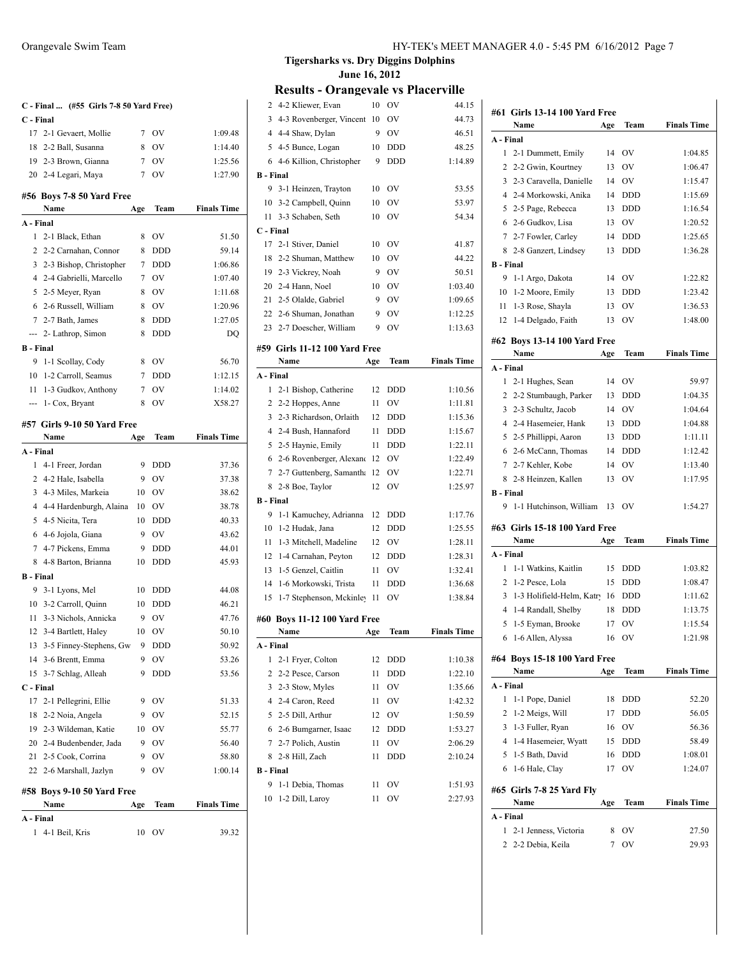| C - Final  (#55 Girls 7-8 50 Yard Free) |                                    |     |            |                    |
|-----------------------------------------|------------------------------------|-----|------------|--------------------|
| C - Final                               |                                    |     |            |                    |
| 17                                      | 2-1 Gevaert, Mollie                | 7   | <b>OV</b>  | 1:09.48            |
| 18                                      | 2-2 Ball, Susanna                  | 8   | <b>OV</b>  | 1:14.40            |
|                                         | 19 2-3 Brown, Gianna               | 7   | <b>OV</b>  | 1:25.56            |
|                                         | 20 2-4 Legari, Maya                | 7   | OV         | 1:27.90            |
|                                         | #56 Boys 7-8 50 Yard Free          |     |            |                    |
|                                         | Name                               | Age | Team       | <b>Finals Time</b> |
| A - Final                               |                                    |     |            |                    |
| $\mathbf{1}$                            | 2-1 Black, Ethan                   | 8   | OV         | 51.50              |
|                                         | 2 2-2 Carnahan, Connor             | 8   | <b>DDD</b> | 59.14              |
| 3                                       | 2-3 Bishop, Christopher            | 7   | <b>DDD</b> | 1:06.86            |
|                                         | 4 2-4 Gabrielli, Marcello          | 7   | OV         | 1:07.40            |
| 5                                       | 2-5 Meyer, Ryan                    | 8   | <b>OV</b>  | 1:11.68            |
| 6                                       | 2-6 Russell, William               | 8   | <b>OV</b>  | 1:20.96            |
| 7                                       | 2-7 Bath, James                    | 8   | <b>DDD</b> | 1:27.05            |
| ---                                     | 2- Lathrop, Simon                  | 8   | <b>DDD</b> | DQ                 |
| <b>B</b> - Final                        |                                    |     |            |                    |
| 9                                       | 1-1 Scollay, Cody                  | 8   | <b>OV</b>  | 56.70              |
|                                         | 10 1-2 Carroll, Seamus             | 7   | <b>DDD</b> | 1:12.15            |
| 11                                      | 1-3 Gudkov, Anthony                | 7   | OV         | 1:14.02            |
|                                         | --- 1- Cox, Bryant                 | 8   | OV         | X58.27             |
|                                         | #57 Girls 9-10 50 Yard Free        |     |            |                    |
|                                         | Name                               | Age | Team       | <b>Finals Time</b> |
| A - Final                               |                                    |     |            |                    |
|                                         | 1 4-1 Freer, Jordan                | 9   | <b>DDD</b> | 37.36              |
| 2                                       | 4-2 Hale, Isabella                 | 9   | OV         | 37.38              |
| 3                                       | 4-3 Miles, Markeia                 | 10  | <b>OV</b>  | 38.62              |
|                                         | 4 4-4 Hardenburgh, Alaina          | 10  | <b>OV</b>  | 38.78              |
| 5                                       | 4-5 Nicita, Tera                   | 10  | <b>DDD</b> | 40.33              |
|                                         | 6 4-6 Jojola, Giana                | 9   | OV         | 43.62              |
|                                         | 7 4-7 Pickens, Emma                | 9   | <b>DDD</b> | 44.01              |
| 8                                       | 4-8 Barton, Brianna                | 10  | DDD        | 45.93              |
| <b>B</b> - Final                        |                                    |     |            |                    |
| 9.                                      | 3-1 Lyons, Mel                     | 10  | <b>DDD</b> | 44.08              |
| 10                                      | 3-2 Carroll, Quinn                 | 10  | <b>DDD</b> | 46.21              |
| 11                                      | 3-3 Nichols, Annicka               | 9   | OV         | 47.76              |
| 12                                      | 3-4 Bartlett, Haley                | 10  | OV         | 50.10              |
| 13                                      | 3-5 Finney-Stephens, Gw            | 9   | DDD        | 50.92              |
| 14                                      | 3-6 Brentt, Emma                   | 9   | OV         | 53.26              |
| 15                                      | 3-7 Schlag, Alleah                 | 9   | DDD        | 53.56              |
| C - Final                               |                                    |     |            |                    |
| 17                                      | 2-1 Pellegrini, Ellie              | 9   | OV         | 51.33              |
| 18                                      | 2-2 Noia, Angela                   | 9   | OV         | 52.15              |
| 19                                      | 2-3 Wildeman, Katie                | 10  | OV         | 55.77              |
|                                         | 20 2-4 Budenbender, Jada           | 9   | OV         | 56.40              |
| 21                                      | 2-5 Cook, Corrina                  | 9   | OV         | 58.80              |
| 22                                      | 2-6 Marshall, Jazlyn               | 9   | OV         | 1:00.14            |
|                                         |                                    |     |            |                    |
|                                         | #58 Boys 9-10 50 Yard Free<br>Name | Age | Team       | <b>Finals Time</b> |
| A - Final                               |                                    |     |            |                    |
| 1                                       | 4-1 Beil, Kris                     | 10  | OV         | 39.32              |

| 3<br>4-3 Rovenberger, Vincent<br>10<br>OV<br>4 4-4 Shaw, Dylan<br>9<br>OV<br>5 4-5 Bunce, Logan<br>10<br>DDD<br>4-6 Killion, Christopher<br><b>DDD</b><br>6<br>9<br><b>B</b> - Final<br>9<br>3-1 Heinzen, Trayton<br>10<br>OV<br>10<br>3-2 Campbell, Quinn<br>10<br>OV<br>3-3 Schaben, Seth<br>OV<br>11<br>10<br>C - Final<br>2-1 Stiver, Daniel<br>17<br>10<br>OV<br>2-2 Shuman, Matthew<br>18<br>10<br>OV<br>19 2-3 Vickrey, Noah<br>9<br>OV<br>20<br>2-4 Hann, Noel<br>10<br>OV<br>2-5 Olalde, Gabriel<br>9<br><b>OV</b><br>21<br>22 2-6 Shuman, Jonathan<br>9<br>OV<br>23 2-7 Doescher, William<br>OV<br>9<br>#59 Girls 11-12 100 Yard Free<br>Name<br>Age<br>Team<br>A - Final<br>1<br>2-1 Bishop, Catherine<br>12<br>DDD<br>OV<br>2<br>2-2 Hoppes, Anne<br>11<br>2-3 Richardson, Orlaith<br>3<br>12<br><b>DDD</b><br>4 2-4 Bush, Hannaford<br>11<br><b>DDD</b><br>5 2-5 Haynie, Emily<br>11<br>DDD<br>6 2-6 Rovenberger, Alexand<br>12<br>OV<br>7 2-7 Guttenberg, Samantha<br>12<br>OV<br>2-8 Boe, Taylor<br>OV<br>8<br>12<br><b>B</b> - Final<br>9<br>1-1 Kamuchey, Adrianna<br>12<br>DDD<br>1-2 Hudak, Jana<br>10<br>12<br>DDD<br>1-3 Mitchell, Madeline<br>11<br>12<br>OV<br>12<br>1-4 Carnahan, Peyton<br>12<br><b>DDD</b><br>1-5 Genzel, Caitlin<br>OV<br>13<br>11<br>1-6 Morkowski, Trista<br>14<br>11<br>DDD<br>15<br>1-7 Stephenson, Mckinley<br>11<br>OV<br>#60 Boys 11-12 100 Yard Free<br>Team<br><b>Finals Time</b><br>Name<br>Age<br>A - Final<br>1<br>2-1 Fryer, Colton<br>12<br>DDD<br>2<br>2-2 Pesce, Carson<br>DDD<br>11<br>2-3 Stow, Myles<br>OV<br>3<br>11<br>4 2-4 Caron, Reed<br>OV<br>11<br>2-5 Dill, Arthur<br>12<br>OV<br>5<br>2-6 Bumgarner, Isaac<br>6<br>12<br><b>DDD</b><br>2-7 Polich, Austin<br>OV<br>7<br>11<br>2-8 Hill, Zach<br>8<br>11<br>DDD<br><b>B</b> - Final<br>9<br>1-1 Debia, Thomas<br>OV<br>11<br>10 1-2 Dill, Larov | 2 | 4-2 Kliewer, Evan | 10 | OV | 44.15              |
|-----------------------------------------------------------------------------------------------------------------------------------------------------------------------------------------------------------------------------------------------------------------------------------------------------------------------------------------------------------------------------------------------------------------------------------------------------------------------------------------------------------------------------------------------------------------------------------------------------------------------------------------------------------------------------------------------------------------------------------------------------------------------------------------------------------------------------------------------------------------------------------------------------------------------------------------------------------------------------------------------------------------------------------------------------------------------------------------------------------------------------------------------------------------------------------------------------------------------------------------------------------------------------------------------------------------------------------------------------------------------------------------------------------------------------------------------------------------------------------------------------------------------------------------------------------------------------------------------------------------------------------------------------------------------------------------------------------------------------------------------------------------------------------------------------------------------------------------------------------------------|---|-------------------|----|----|--------------------|
|                                                                                                                                                                                                                                                                                                                                                                                                                                                                                                                                                                                                                                                                                                                                                                                                                                                                                                                                                                                                                                                                                                                                                                                                                                                                                                                                                                                                                                                                                                                                                                                                                                                                                                                                                                                                                                                                       |   |                   |    |    | 44.73              |
|                                                                                                                                                                                                                                                                                                                                                                                                                                                                                                                                                                                                                                                                                                                                                                                                                                                                                                                                                                                                                                                                                                                                                                                                                                                                                                                                                                                                                                                                                                                                                                                                                                                                                                                                                                                                                                                                       |   |                   |    |    | 46.51              |
|                                                                                                                                                                                                                                                                                                                                                                                                                                                                                                                                                                                                                                                                                                                                                                                                                                                                                                                                                                                                                                                                                                                                                                                                                                                                                                                                                                                                                                                                                                                                                                                                                                                                                                                                                                                                                                                                       |   |                   |    |    | 48.25              |
|                                                                                                                                                                                                                                                                                                                                                                                                                                                                                                                                                                                                                                                                                                                                                                                                                                                                                                                                                                                                                                                                                                                                                                                                                                                                                                                                                                                                                                                                                                                                                                                                                                                                                                                                                                                                                                                                       |   |                   |    |    | 1:14.89            |
|                                                                                                                                                                                                                                                                                                                                                                                                                                                                                                                                                                                                                                                                                                                                                                                                                                                                                                                                                                                                                                                                                                                                                                                                                                                                                                                                                                                                                                                                                                                                                                                                                                                                                                                                                                                                                                                                       |   |                   |    |    |                    |
|                                                                                                                                                                                                                                                                                                                                                                                                                                                                                                                                                                                                                                                                                                                                                                                                                                                                                                                                                                                                                                                                                                                                                                                                                                                                                                                                                                                                                                                                                                                                                                                                                                                                                                                                                                                                                                                                       |   |                   |    |    | 53.55              |
|                                                                                                                                                                                                                                                                                                                                                                                                                                                                                                                                                                                                                                                                                                                                                                                                                                                                                                                                                                                                                                                                                                                                                                                                                                                                                                                                                                                                                                                                                                                                                                                                                                                                                                                                                                                                                                                                       |   |                   |    |    | 53.97              |
|                                                                                                                                                                                                                                                                                                                                                                                                                                                                                                                                                                                                                                                                                                                                                                                                                                                                                                                                                                                                                                                                                                                                                                                                                                                                                                                                                                                                                                                                                                                                                                                                                                                                                                                                                                                                                                                                       |   |                   |    |    | 54.34              |
|                                                                                                                                                                                                                                                                                                                                                                                                                                                                                                                                                                                                                                                                                                                                                                                                                                                                                                                                                                                                                                                                                                                                                                                                                                                                                                                                                                                                                                                                                                                                                                                                                                                                                                                                                                                                                                                                       |   |                   |    |    |                    |
|                                                                                                                                                                                                                                                                                                                                                                                                                                                                                                                                                                                                                                                                                                                                                                                                                                                                                                                                                                                                                                                                                                                                                                                                                                                                                                                                                                                                                                                                                                                                                                                                                                                                                                                                                                                                                                                                       |   |                   |    |    | 41.87              |
|                                                                                                                                                                                                                                                                                                                                                                                                                                                                                                                                                                                                                                                                                                                                                                                                                                                                                                                                                                                                                                                                                                                                                                                                                                                                                                                                                                                                                                                                                                                                                                                                                                                                                                                                                                                                                                                                       |   |                   |    |    | 44.22              |
|                                                                                                                                                                                                                                                                                                                                                                                                                                                                                                                                                                                                                                                                                                                                                                                                                                                                                                                                                                                                                                                                                                                                                                                                                                                                                                                                                                                                                                                                                                                                                                                                                                                                                                                                                                                                                                                                       |   |                   |    |    | 50.51              |
|                                                                                                                                                                                                                                                                                                                                                                                                                                                                                                                                                                                                                                                                                                                                                                                                                                                                                                                                                                                                                                                                                                                                                                                                                                                                                                                                                                                                                                                                                                                                                                                                                                                                                                                                                                                                                                                                       |   |                   |    |    | 1:03.40            |
|                                                                                                                                                                                                                                                                                                                                                                                                                                                                                                                                                                                                                                                                                                                                                                                                                                                                                                                                                                                                                                                                                                                                                                                                                                                                                                                                                                                                                                                                                                                                                                                                                                                                                                                                                                                                                                                                       |   |                   |    |    | 1:09.65            |
|                                                                                                                                                                                                                                                                                                                                                                                                                                                                                                                                                                                                                                                                                                                                                                                                                                                                                                                                                                                                                                                                                                                                                                                                                                                                                                                                                                                                                                                                                                                                                                                                                                                                                                                                                                                                                                                                       |   |                   |    |    | 1:12.25            |
|                                                                                                                                                                                                                                                                                                                                                                                                                                                                                                                                                                                                                                                                                                                                                                                                                                                                                                                                                                                                                                                                                                                                                                                                                                                                                                                                                                                                                                                                                                                                                                                                                                                                                                                                                                                                                                                                       |   |                   |    |    | 1:13.63            |
|                                                                                                                                                                                                                                                                                                                                                                                                                                                                                                                                                                                                                                                                                                                                                                                                                                                                                                                                                                                                                                                                                                                                                                                                                                                                                                                                                                                                                                                                                                                                                                                                                                                                                                                                                                                                                                                                       |   |                   |    |    |                    |
|                                                                                                                                                                                                                                                                                                                                                                                                                                                                                                                                                                                                                                                                                                                                                                                                                                                                                                                                                                                                                                                                                                                                                                                                                                                                                                                                                                                                                                                                                                                                                                                                                                                                                                                                                                                                                                                                       |   |                   |    |    | <b>Finals Time</b> |
|                                                                                                                                                                                                                                                                                                                                                                                                                                                                                                                                                                                                                                                                                                                                                                                                                                                                                                                                                                                                                                                                                                                                                                                                                                                                                                                                                                                                                                                                                                                                                                                                                                                                                                                                                                                                                                                                       |   |                   |    |    |                    |
|                                                                                                                                                                                                                                                                                                                                                                                                                                                                                                                                                                                                                                                                                                                                                                                                                                                                                                                                                                                                                                                                                                                                                                                                                                                                                                                                                                                                                                                                                                                                                                                                                                                                                                                                                                                                                                                                       |   |                   |    |    | 1:10.56            |
|                                                                                                                                                                                                                                                                                                                                                                                                                                                                                                                                                                                                                                                                                                                                                                                                                                                                                                                                                                                                                                                                                                                                                                                                                                                                                                                                                                                                                                                                                                                                                                                                                                                                                                                                                                                                                                                                       |   |                   |    |    | 1:11.81            |
|                                                                                                                                                                                                                                                                                                                                                                                                                                                                                                                                                                                                                                                                                                                                                                                                                                                                                                                                                                                                                                                                                                                                                                                                                                                                                                                                                                                                                                                                                                                                                                                                                                                                                                                                                                                                                                                                       |   |                   |    |    | 1:15.36            |
|                                                                                                                                                                                                                                                                                                                                                                                                                                                                                                                                                                                                                                                                                                                                                                                                                                                                                                                                                                                                                                                                                                                                                                                                                                                                                                                                                                                                                                                                                                                                                                                                                                                                                                                                                                                                                                                                       |   |                   |    |    | 1:15.67            |
|                                                                                                                                                                                                                                                                                                                                                                                                                                                                                                                                                                                                                                                                                                                                                                                                                                                                                                                                                                                                                                                                                                                                                                                                                                                                                                                                                                                                                                                                                                                                                                                                                                                                                                                                                                                                                                                                       |   |                   |    |    | 1:22.11            |
|                                                                                                                                                                                                                                                                                                                                                                                                                                                                                                                                                                                                                                                                                                                                                                                                                                                                                                                                                                                                                                                                                                                                                                                                                                                                                                                                                                                                                                                                                                                                                                                                                                                                                                                                                                                                                                                                       |   |                   |    |    | 1:22.49            |
|                                                                                                                                                                                                                                                                                                                                                                                                                                                                                                                                                                                                                                                                                                                                                                                                                                                                                                                                                                                                                                                                                                                                                                                                                                                                                                                                                                                                                                                                                                                                                                                                                                                                                                                                                                                                                                                                       |   |                   |    |    | 1:22.71            |
|                                                                                                                                                                                                                                                                                                                                                                                                                                                                                                                                                                                                                                                                                                                                                                                                                                                                                                                                                                                                                                                                                                                                                                                                                                                                                                                                                                                                                                                                                                                                                                                                                                                                                                                                                                                                                                                                       |   |                   |    |    | 1:25.97            |
|                                                                                                                                                                                                                                                                                                                                                                                                                                                                                                                                                                                                                                                                                                                                                                                                                                                                                                                                                                                                                                                                                                                                                                                                                                                                                                                                                                                                                                                                                                                                                                                                                                                                                                                                                                                                                                                                       |   |                   |    |    |                    |
|                                                                                                                                                                                                                                                                                                                                                                                                                                                                                                                                                                                                                                                                                                                                                                                                                                                                                                                                                                                                                                                                                                                                                                                                                                                                                                                                                                                                                                                                                                                                                                                                                                                                                                                                                                                                                                                                       |   |                   |    |    | 1:17.76            |
|                                                                                                                                                                                                                                                                                                                                                                                                                                                                                                                                                                                                                                                                                                                                                                                                                                                                                                                                                                                                                                                                                                                                                                                                                                                                                                                                                                                                                                                                                                                                                                                                                                                                                                                                                                                                                                                                       |   |                   |    |    | 1:25.55            |
|                                                                                                                                                                                                                                                                                                                                                                                                                                                                                                                                                                                                                                                                                                                                                                                                                                                                                                                                                                                                                                                                                                                                                                                                                                                                                                                                                                                                                                                                                                                                                                                                                                                                                                                                                                                                                                                                       |   |                   |    |    | 1:28.11            |
|                                                                                                                                                                                                                                                                                                                                                                                                                                                                                                                                                                                                                                                                                                                                                                                                                                                                                                                                                                                                                                                                                                                                                                                                                                                                                                                                                                                                                                                                                                                                                                                                                                                                                                                                                                                                                                                                       |   |                   |    |    | 1:28.31            |
|                                                                                                                                                                                                                                                                                                                                                                                                                                                                                                                                                                                                                                                                                                                                                                                                                                                                                                                                                                                                                                                                                                                                                                                                                                                                                                                                                                                                                                                                                                                                                                                                                                                                                                                                                                                                                                                                       |   |                   |    |    | 1:32.41            |
|                                                                                                                                                                                                                                                                                                                                                                                                                                                                                                                                                                                                                                                                                                                                                                                                                                                                                                                                                                                                                                                                                                                                                                                                                                                                                                                                                                                                                                                                                                                                                                                                                                                                                                                                                                                                                                                                       |   |                   |    |    | 1:36.68            |
|                                                                                                                                                                                                                                                                                                                                                                                                                                                                                                                                                                                                                                                                                                                                                                                                                                                                                                                                                                                                                                                                                                                                                                                                                                                                                                                                                                                                                                                                                                                                                                                                                                                                                                                                                                                                                                                                       |   |                   |    |    | 1:38.84            |
|                                                                                                                                                                                                                                                                                                                                                                                                                                                                                                                                                                                                                                                                                                                                                                                                                                                                                                                                                                                                                                                                                                                                                                                                                                                                                                                                                                                                                                                                                                                                                                                                                                                                                                                                                                                                                                                                       |   |                   |    |    |                    |
|                                                                                                                                                                                                                                                                                                                                                                                                                                                                                                                                                                                                                                                                                                                                                                                                                                                                                                                                                                                                                                                                                                                                                                                                                                                                                                                                                                                                                                                                                                                                                                                                                                                                                                                                                                                                                                                                       |   |                   |    |    |                    |
|                                                                                                                                                                                                                                                                                                                                                                                                                                                                                                                                                                                                                                                                                                                                                                                                                                                                                                                                                                                                                                                                                                                                                                                                                                                                                                                                                                                                                                                                                                                                                                                                                                                                                                                                                                                                                                                                       |   |                   |    |    |                    |
|                                                                                                                                                                                                                                                                                                                                                                                                                                                                                                                                                                                                                                                                                                                                                                                                                                                                                                                                                                                                                                                                                                                                                                                                                                                                                                                                                                                                                                                                                                                                                                                                                                                                                                                                                                                                                                                                       |   |                   |    |    | 1:10.38            |
|                                                                                                                                                                                                                                                                                                                                                                                                                                                                                                                                                                                                                                                                                                                                                                                                                                                                                                                                                                                                                                                                                                                                                                                                                                                                                                                                                                                                                                                                                                                                                                                                                                                                                                                                                                                                                                                                       |   |                   |    |    | 1:22.10            |
|                                                                                                                                                                                                                                                                                                                                                                                                                                                                                                                                                                                                                                                                                                                                                                                                                                                                                                                                                                                                                                                                                                                                                                                                                                                                                                                                                                                                                                                                                                                                                                                                                                                                                                                                                                                                                                                                       |   |                   |    |    | 1:35.66            |
|                                                                                                                                                                                                                                                                                                                                                                                                                                                                                                                                                                                                                                                                                                                                                                                                                                                                                                                                                                                                                                                                                                                                                                                                                                                                                                                                                                                                                                                                                                                                                                                                                                                                                                                                                                                                                                                                       |   |                   |    |    | 1:42.32            |
|                                                                                                                                                                                                                                                                                                                                                                                                                                                                                                                                                                                                                                                                                                                                                                                                                                                                                                                                                                                                                                                                                                                                                                                                                                                                                                                                                                                                                                                                                                                                                                                                                                                                                                                                                                                                                                                                       |   |                   |    |    | 1:50.59            |
|                                                                                                                                                                                                                                                                                                                                                                                                                                                                                                                                                                                                                                                                                                                                                                                                                                                                                                                                                                                                                                                                                                                                                                                                                                                                                                                                                                                                                                                                                                                                                                                                                                                                                                                                                                                                                                                                       |   |                   |    |    | 1:53.27            |
|                                                                                                                                                                                                                                                                                                                                                                                                                                                                                                                                                                                                                                                                                                                                                                                                                                                                                                                                                                                                                                                                                                                                                                                                                                                                                                                                                                                                                                                                                                                                                                                                                                                                                                                                                                                                                                                                       |   |                   |    |    | 2:06.29            |
|                                                                                                                                                                                                                                                                                                                                                                                                                                                                                                                                                                                                                                                                                                                                                                                                                                                                                                                                                                                                                                                                                                                                                                                                                                                                                                                                                                                                                                                                                                                                                                                                                                                                                                                                                                                                                                                                       |   |                   |    |    | 2:10.24            |
|                                                                                                                                                                                                                                                                                                                                                                                                                                                                                                                                                                                                                                                                                                                                                                                                                                                                                                                                                                                                                                                                                                                                                                                                                                                                                                                                                                                                                                                                                                                                                                                                                                                                                                                                                                                                                                                                       |   |                   |    |    |                    |
|                                                                                                                                                                                                                                                                                                                                                                                                                                                                                                                                                                                                                                                                                                                                                                                                                                                                                                                                                                                                                                                                                                                                                                                                                                                                                                                                                                                                                                                                                                                                                                                                                                                                                                                                                                                                                                                                       |   |                   |    |    | 1:51.93            |
|                                                                                                                                                                                                                                                                                                                                                                                                                                                                                                                                                                                                                                                                                                                                                                                                                                                                                                                                                                                                                                                                                                                                                                                                                                                                                                                                                                                                                                                                                                                                                                                                                                                                                                                                                                                                                                                                       |   |                   | 11 | OV | 2:27.93            |

| #61 Girls 13-14 100 Yard Free                                                                                                 |     |            |                    |  |  |
|-------------------------------------------------------------------------------------------------------------------------------|-----|------------|--------------------|--|--|
| Name                                                                                                                          | Age | Team       | <b>Finals Time</b> |  |  |
| A - Final                                                                                                                     |     |            |                    |  |  |
| 1 2-1 Dummett, Emily                                                                                                          | 14  | <b>OV</b>  | 1:04.85            |  |  |
| 2 2-2 Gwin, Kourtney                                                                                                          | 13  | <b>OV</b>  | 1:06.47            |  |  |
| 3 2-3 Caravella, Danielle                                                                                                     | 14  | OV         | 1:15.47            |  |  |
| 4 2-4 Morkowski, Anika                                                                                                        | 14  | DDD        | 1:15.69            |  |  |
| 5 2-5 Page, Rebecca                                                                                                           | 13  | DDD        | 1:16.54            |  |  |
| 6 2-6 Gudkov, Lisa                                                                                                            | 13  | OV         | 1:20.52            |  |  |
| 7 2-7 Fowler, Carley                                                                                                          | 14  | DDD        | 1:25.65            |  |  |
| 8 2-8 Ganzert, Lindsey                                                                                                        | 13  | DDD        | 1:36.28            |  |  |
| <b>B</b> - Final                                                                                                              |     |            |                    |  |  |
| 9<br>1-1 Argo, Dakota                                                                                                         | 14  | <b>OV</b>  | 1:22.82            |  |  |
| 10<br>1-2 Moore, Emily                                                                                                        | 13  | DDD        | 1:23.42            |  |  |
| 1-3 Rose, Shayla<br>11                                                                                                        | 13  | OV         | 1:36.53            |  |  |
| 12<br>1-4 Delgado, Faith                                                                                                      | 13  | OV         | 1:48.00            |  |  |
| #62 Boys 13-14 100 Yard Free                                                                                                  |     |            |                    |  |  |
| Name                                                                                                                          | Age | Team       | <b>Finals Time</b> |  |  |
| A - Final                                                                                                                     |     |            |                    |  |  |
| 2-1 Hughes, Sean<br>$\mathbf{1}$                                                                                              | 14  | <b>OV</b>  | 59.97              |  |  |
| 2 2-2 Stumbaugh, Parker                                                                                                       | 13  | DDD        | 1:04.35            |  |  |
| 3 2-3 Schultz, Jacob                                                                                                          | 14  | OV         | 1:04.64            |  |  |
| 4 2-4 Hasemeier, Hank                                                                                                         | 13  | DDD        | 1:04.88            |  |  |
| 5 2-5 Phillippi, Aaron                                                                                                        | 13  | DDD        | 1:11.11            |  |  |
| 6 2-6 McCann, Thomas                                                                                                          | 14  | <b>DDD</b> | 1:12.42            |  |  |
| 7 2-7 Kehler, Kobe                                                                                                            | 14  | <b>OV</b>  | 1:13.40            |  |  |
| 8 2-8 Heinzen, Kallen                                                                                                         | 13  | OV         | 1:17.95            |  |  |
| <b>B</b> - Final                                                                                                              |     |            |                    |  |  |
| 1-1 Hutchinson, William<br>9                                                                                                  | 13  | <b>OV</b>  | 1:54.27            |  |  |
|                                                                                                                               |     |            |                    |  |  |
|                                                                                                                               |     |            |                    |  |  |
| Name                                                                                                                          | Age | Team       | <b>Finals Time</b> |  |  |
|                                                                                                                               |     |            |                    |  |  |
| 1-1 Watkins, Kaitlin<br>1                                                                                                     | 15  | <b>DDD</b> | 1:03.82            |  |  |
| 1-2 Pesce, Lola<br>2                                                                                                          | 15  | <b>DDD</b> | 1:08.47            |  |  |
| 3 1-3 Holifield-Helm, Katry 16                                                                                                |     | <b>DDD</b> | 1:11.62            |  |  |
| 4 1-4 Randall, Shelby                                                                                                         | 18  | <b>DDD</b> | 1:13.75            |  |  |
| 1-5 Eyman, Brooke<br>5                                                                                                        | 17  | OV         | 1:15.54            |  |  |
| 6 1-6 Allen, Alyssa                                                                                                           | 16  | OV         | 1:21.98            |  |  |
|                                                                                                                               |     |            |                    |  |  |
| Name                                                                                                                          | Age | Team       | <b>Finals Time</b> |  |  |
|                                                                                                                               |     |            |                    |  |  |
| A - Final<br>1<br>1-1 Pope, Daniel                                                                                            | 18  | DDD        | 52.20              |  |  |
| 1-2 Meigs, Will<br>2                                                                                                          | 17  | <b>DDD</b> | 56.05              |  |  |
| 1-3 Fuller, Ryan<br>3                                                                                                         | 16  | OV         | 56.36              |  |  |
| 4 1-4 Hasemeier, Wyatt                                                                                                        | 15  | DDD        | 58.49              |  |  |
| 1-5 Bath, David<br>5                                                                                                          | 16  | <b>DDD</b> | 1:08.01            |  |  |
| 6<br>1-6 Hale, Clay                                                                                                           | 17  | OV         | 1:24.07            |  |  |
|                                                                                                                               |     |            |                    |  |  |
| Name                                                                                                                          | Age | Team       | <b>Finals Time</b> |  |  |
|                                                                                                                               |     |            |                    |  |  |
| A - Final<br>1<br>2-1 Jenness, Victoria                                                                                       | 8   | OV         | 27.50              |  |  |
| #63 Girls 15-18 100 Yard Free<br>A - Final<br>#64 Boys 15-18 100 Yard Free<br>#65 Girls 7-8 25 Yard Fly<br>2 2-2 Debia, Keila | 7   | OV         | 29.93              |  |  |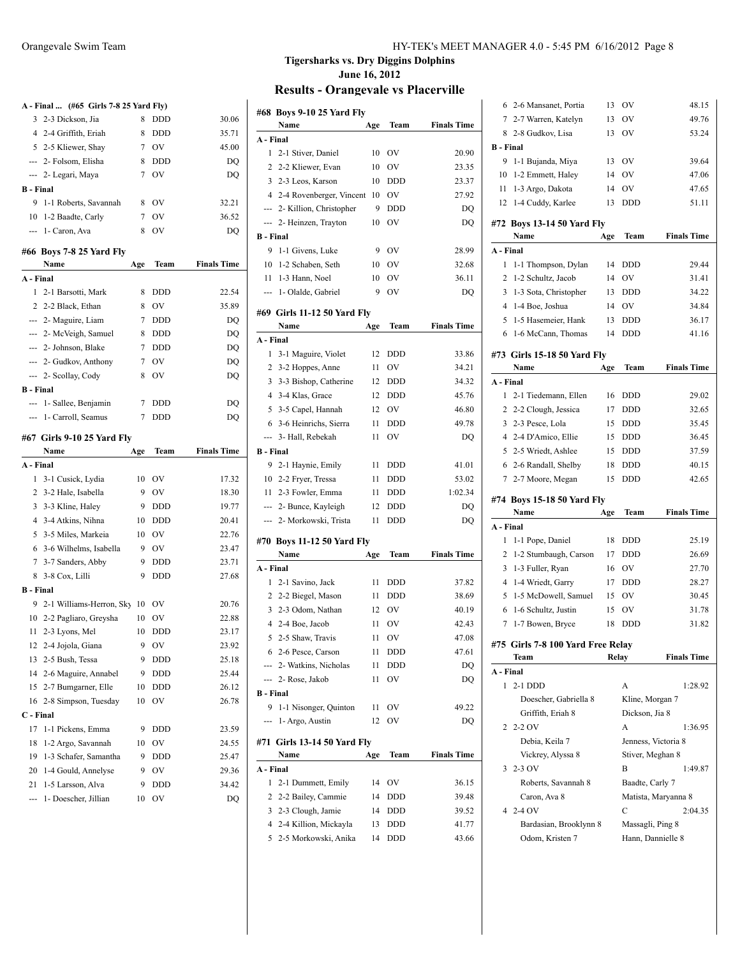|                  | A - Final  (#65 Girls 7-8 25 Yard Fly) |     |            |                    |
|------------------|----------------------------------------|-----|------------|--------------------|
|                  | 3 2-3 Dickson, Jia                     | 8   | <b>DDD</b> | 30.06              |
|                  | 4 2-4 Griffith, Eriah                  | 8   | <b>DDD</b> | 35.71              |
|                  | 5 2-5 Kliewer, Shay                    | 7   | <b>OV</b>  | 45.00              |
|                  | --- 2- Folsom, Elisha                  | 8   | DDD        | DQ                 |
|                  | --- 2- Legari, Maya                    | 7   | <b>OV</b>  | DQ                 |
| <b>B</b> - Final |                                        |     |            |                    |
| 9                | 1-1 Roberts, Savannah                  | 8   | <b>OV</b>  | 32.21              |
|                  | 10 1-2 Baadte, Carly                   | 7   | OV         | 36.52              |
|                  | --- 1- Caron, Ava                      | 8   | <b>OV</b>  | DQ                 |
|                  |                                        |     |            |                    |
|                  | #66 Boys 7-8 25 Yard Fly<br>Name       |     | Team       | <b>Finals Time</b> |
| A - Final        |                                        | Age |            |                    |
| $\mathbf{1}$     |                                        | 8   |            | 22.54              |
|                  | 2-1 Barsotti, Mark                     |     | <b>DDD</b> |                    |
|                  | 2 2-2 Black, Ethan                     | 8   | <b>OV</b>  | 35.89              |
|                  | --- 2- Maguire, Liam                   | 7   | <b>DDD</b> | DQ                 |
|                  | --- 2- McVeigh, Samuel                 | 8   | <b>DDD</b> | DO                 |
|                  | --- 2- Johnson, Blake                  | 7   | <b>DDD</b> | DQ                 |
|                  | --- 2- Gudkov, Anthony                 | 7   | <b>OV</b>  | DQ                 |
|                  | --- 2- Scollay, Cody                   | 8   | <b>OV</b>  | DQ                 |
| <b>B</b> - Final |                                        |     |            |                    |
|                  | --- 1- Sallee, Benjamin                | 7   | <b>DDD</b> | DQ                 |
|                  | --- 1- Carroll, Seamus                 | 7   | <b>DDD</b> | DQ                 |
|                  | #67 Girls 9-10 25 Yard Fly             |     |            |                    |
|                  | Name                                   | Age | Team       | <b>Finals Time</b> |
| A - Final        |                                        |     |            |                    |
|                  | 1 3-1 Cusick, Lydia                    | 10  | <b>OV</b>  | 17.32              |
|                  | 2 3-2 Hale, Isabella                   | 9   | <b>OV</b>  | 18.30              |
|                  | 3 3-3 Kline, Haley                     | 9   | <b>DDD</b> | 19.77              |
|                  | 4 3-4 Atkins, Nihna                    | 10  | <b>DDD</b> | 20.41              |
|                  | 5 3-5 Miles, Markeia                   | 10  | <b>OV</b>  | 22.76              |
|                  | 6 3-6 Wilhelms, Isabella               | 9   | <b>OV</b>  | 23.47              |
| 7                | 3-7 Sanders, Abby                      | 9   | <b>DDD</b> | 23.71              |
| 8                | 3-8 Cox, Lilli                         | 9   | <b>DDD</b> | 27.68              |
| <b>B</b> - Final |                                        |     |            |                    |
|                  | 9 2-1 Williams-Herron, Sky 10 OV       |     |            | 20.76              |
|                  | 10 2-2 Pagliaro, Greysha               | 10  | <b>OV</b>  | 22.88              |
|                  |                                        |     |            | 23.17              |
|                  | 11 2-3 Lyons, Mel                      |     | 10 DDD     |                    |
| 12               | 2-4 Jojola, Giana                      | 9   | OV         | 23.92              |
| 13               | 2-5 Bush, Tessa                        | 9   | DDD        | 25.18              |
|                  | 14 2-6 Maguire, Annabel                | 9   | DDD        | 25.44              |
| 15               | 2-7 Bumgarner, Elle                    | 10  | DDD        | 26.12              |
| 16               | 2-8 Simpson, Tuesday                   | 10  | OV         | 26.78              |
| C - Final        |                                        |     |            |                    |
| 17               | 1-1 Pickens, Emma                      | 9   | DDD        | 23.59              |
| 18               | 1-2 Argo, Savannah                     | 10  | OV         | 24.55              |
| 19               | 1-3 Schafer, Samantha                  | 9   | DDD        | 25.47              |
| 20               | 1-4 Gould, Annelyse                    | 9   | OV         | 29.36              |
| 21               | 1-5 Larsson, Alva                      | 9   | <b>DDD</b> | 34.42              |
|                  | 1- Doescher, Jillian                   | 10  | OV         | DQ                 |
|                  |                                        |     |            |                    |

|                  | #68 Boys 9-10 25 Yard Fly    |     |            |                    |
|------------------|------------------------------|-----|------------|--------------------|
|                  | Name                         | Age | Team       | <b>Finals Time</b> |
| A - Final        |                              |     |            |                    |
| 1                | 2-1 Stiver, Daniel           | 10  | <b>OV</b>  | 20.90              |
| 2                | 2-2 Kliewer, Evan            | 10  | OV         | 23.35              |
| 3                | 2-3 Leos, Karson             | 10  | <b>DDD</b> | 23.37              |
| 4                | 2-4 Rovenberger, Vincent     | 10  | OV         | 27.92              |
| ---              | 2- Killion, Christopher      | 9   | <b>DDD</b> | DQ                 |
| ---              | 2- Heinzen, Trayton          | 10  | <b>OV</b>  | DQ                 |
|                  | <b>B</b> - Final             |     |            |                    |
| 9                | 1-1 Givens, Luke             | 9   | OV         | 28.99              |
| 10               | 1-2 Schaben, Seth            | 10  | OV         | 32.68              |
| 11               | 1-3 Hann, Noel               | 10  | <b>OV</b>  | 36.11              |
| ---              | 1- Olalde, Gabriel           | 9   | OV         | DQ                 |
|                  | #69 Girls 11-12 50 Yard Fly  |     |            |                    |
|                  | Name                         | Age | Team       | <b>Finals Time</b> |
| A - Final        |                              |     |            |                    |
| 1                | 3-1 Maguire, Violet          | 12  | DDD        | 33.86              |
| 2                | 3-2 Hoppes, Anne             | 11  | OV         | 34.21              |
| 3                | 3-3 Bishop, Catherine        | 12  | <b>DDD</b> | 34.32              |
|                  | 4 3-4 Klas, Grace            | 12  | <b>DDD</b> | 45.76              |
| 5                | 3-5 Capel, Hannah            | 12  | OV         | 46.80              |
| 6                | 3-6 Heinrichs, Sierra        | 11  | <b>DDD</b> | 49.78              |
| ---              | 3- Hall, Rebekah             | 11  | OV         | DQ                 |
| <b>B</b> - Final |                              |     |            |                    |
| 9                | 2-1 Haynie, Emily            | 11  | <b>DDD</b> | 41.01              |
| 10               | 2-2 Fryer, Tressa            | 11  | DDD        | 53.02              |
| 11               | 2-3 Fowler, Emma             | 11  | DDD        | 1:02.34            |
| ---              | 2- Bunce, Kayleigh           | 12  | DDD        | DQ                 |
| $\overline{a}$   | 2- Morkowski, Trista         | 11  | DDD        | DQ                 |
|                  |                              |     |            |                    |
|                  | #70  Boys 11-12 50 Yard Fly  |     |            |                    |
|                  | Name                         | Age | Team       | <b>Finals Time</b> |
| A - Final        |                              |     |            |                    |
| 1                | 2-1 Savino, Jack             | 11  | DDD        | 37.82              |
| 2                | 2-2 Biegel, Mason            | 11  | DDD        | 38.69              |
| 3                | 2-3 Odom, Nathan             | 12  | OV         | 40.19              |
|                  | 4 2-4 Boe, Jacob             | 11  | OV         | 42.43              |
| 5                | 2-5 Shaw, Travis             | 11  | OV         | 47.08              |
|                  | 6 2-6 Pesce, Carson          | 11  | DDD        | 47.61              |
|                  | --- 2- Watkins, Nicholas     | 11  | DDD        | DQ                 |
|                  | --- 2- Rose, Jakob           | 11  | OV         | DQ                 |
|                  | <b>B</b> - Final             |     |            |                    |
| 9                | 1-1 Nisonger, Quinton        | 11  | OV         | 49.22              |
| ---              | 1- Argo, Austin              | 12  | OV         | DQ                 |
|                  | #71  Girls 13-14 50 Yard Fly |     |            |                    |
|                  | Name                         | Age | Team       | <b>Finals Time</b> |
| A - Final        |                              |     |            |                    |
| 1                | 2-1 Dummett, Emily           | 14  | OV         | 36.15              |
| 2                | 2-2 Bailey, Cammie           | 14  | <b>DDD</b> | 39.48              |
| 3                | 2-3 Clough, Jamie            | 14  | <b>DDD</b> | 39.52              |
|                  | 4 2-4 Killion, Mickayla      | 13  | DDD        | 41.77              |
|                  | 5 2-5 Morkowski, Anika       | 14  | DDD        | 43.66              |

| 6                | 2-6 Mansanet, Portia                      | 13    | OV                                    | 48.15               |  |  |  |
|------------------|-------------------------------------------|-------|---------------------------------------|---------------------|--|--|--|
| 7                | 2-7 Warren, Katelyn                       | 13    | OV                                    | 49.76               |  |  |  |
| 8                | 2-8 Gudkov, Lisa                          | 13    | OV                                    | 53.24               |  |  |  |
| <b>B</b> - Final |                                           |       |                                       |                     |  |  |  |
| 9                | 1-1 Bujanda, Miya                         | 13    | OV                                    | 39.64               |  |  |  |
| 10               | 1-2 Emmett, Haley                         | 14    | OV                                    | 47.06               |  |  |  |
| 11               | 1-3 Argo, Dakota                          | 14    | OV                                    | 47.65               |  |  |  |
| 12               | 1-4 Cuddy, Karlee                         | 13    | <b>DDD</b>                            | 51.11               |  |  |  |
|                  |                                           |       |                                       |                     |  |  |  |
|                  | #72 Boys 13-14 50 Yard Fly                |       |                                       |                     |  |  |  |
|                  | Name                                      | Age   | Team                                  | <b>Finals Time</b>  |  |  |  |
| A - Final        |                                           |       |                                       |                     |  |  |  |
| 1                | 1-1 Thompson, Dylan                       | 14    | <b>DDD</b>                            | 29.44               |  |  |  |
| $\overline{c}$   | 1-2 Schultz, Jacob                        | 14    | OV                                    | 31.41               |  |  |  |
| 3                | 1-3 Sota, Christopher                     | 13    | <b>DDD</b>                            | 34.22               |  |  |  |
| $\overline{4}$   | 1-4 Boe, Joshua                           | 14    | <b>OV</b>                             | 34.84               |  |  |  |
| 5                | 1-5 Hasemeier, Hank                       | 13    | <b>DDD</b>                            | 36.17               |  |  |  |
|                  | 6 1-6 McCann, Thomas                      | 14    | <b>DDD</b>                            | 41.16               |  |  |  |
|                  |                                           |       |                                       |                     |  |  |  |
|                  | #73 Girls 15-18 50 Yard Fly               |       |                                       |                     |  |  |  |
|                  | Name                                      | Age   | Team                                  | <b>Finals Time</b>  |  |  |  |
| A - Final        |                                           |       |                                       |                     |  |  |  |
| 1                | 2-1 Tiedemann, Ellen                      | 16    | DDD                                   | 29.02               |  |  |  |
| 2                | 2-2 Clough, Jessica                       | 17    | <b>DDD</b>                            | 32.65               |  |  |  |
| 3                | 2-3 Pesce, Lola                           | 15    | <b>DDD</b>                            | 35.45               |  |  |  |
|                  | 4 2-4 D'Amico, Ellie                      | 15    | <b>DDD</b>                            | 36.45               |  |  |  |
| 5                | 2-5 Wriedt, Ashlee                        | 15    | <b>DDD</b>                            | 37.59               |  |  |  |
|                  | 6 2-6 Randall, Shelby                     | 18    | <b>DDD</b>                            | 40.15               |  |  |  |
| 7                | 2-7 Moore, Megan                          | 15    | DDD                                   | 42.65               |  |  |  |
|                  |                                           |       |                                       |                     |  |  |  |
|                  |                                           |       |                                       |                     |  |  |  |
|                  | #74 Boys 15-18 50 Yard Fly<br>Name        |       |                                       |                     |  |  |  |
| A - Final        |                                           | Age   | Team                                  | <b>Finals Time</b>  |  |  |  |
| 1                |                                           | 18    |                                       |                     |  |  |  |
|                  | 1-1 Pope, Daniel                          |       | DDD                                   | 25.19               |  |  |  |
| 2                | 1-2 Stumbaugh, Carson                     | 17    | <b>DDD</b>                            | 26.69               |  |  |  |
| 3                | 1-3 Fuller, Ryan                          | 16    | OV                                    | 27.70               |  |  |  |
| 4                | 1-4 Wriedt, Garry                         | 17    | <b>DDD</b>                            | 28.27               |  |  |  |
| 5                | 1-5 McDowell, Samuel                      | 15    | OV                                    | 30.45               |  |  |  |
| 6                | 1-6 Schultz, Justin                       | 15    | OV                                    | 31.78               |  |  |  |
| 7                | 1-7 Bowen, Bryce                          | 18    | <b>DDD</b>                            | 31.82               |  |  |  |
|                  | #75 Girls 7-8 100 Yard Free Relay         |       |                                       |                     |  |  |  |
|                  | Team                                      | Relay |                                       | <b>Finals Time</b>  |  |  |  |
| A - Final        |                                           |       |                                       |                     |  |  |  |
| 1                | 2-1 DDD                                   |       | А                                     | 1:28.92             |  |  |  |
|                  | Doescher, Gabriella 8                     |       | Kline, Morgan 7                       |                     |  |  |  |
|                  | Griffith, Eriah 8                         |       | Dickson, Jia 8                        |                     |  |  |  |
| 2                | $2-2$ OV                                  |       | A                                     | 1:36.95             |  |  |  |
|                  | Debia, Keila 7                            |       | Jenness, Victoria 8                   |                     |  |  |  |
|                  |                                           |       |                                       |                     |  |  |  |
| 3                | Vickrey, Alyssa 8<br>2-3 OV               |       | Stiver, Meghan 8<br>B                 | 1:49.87             |  |  |  |
|                  |                                           |       |                                       |                     |  |  |  |
|                  | Roberts, Savannah 8                       |       | Baadte, Carly 7                       |                     |  |  |  |
|                  | Caron, Ava 8                              |       |                                       | Matista, Maryanna 8 |  |  |  |
| 4                | 2-4 OV                                    |       | C                                     | 2:04.35             |  |  |  |
|                  | Bardasian, Brooklynn 8<br>Odom, Kristen 7 |       | Massagli, Ping 8<br>Hann, Dannielle 8 |                     |  |  |  |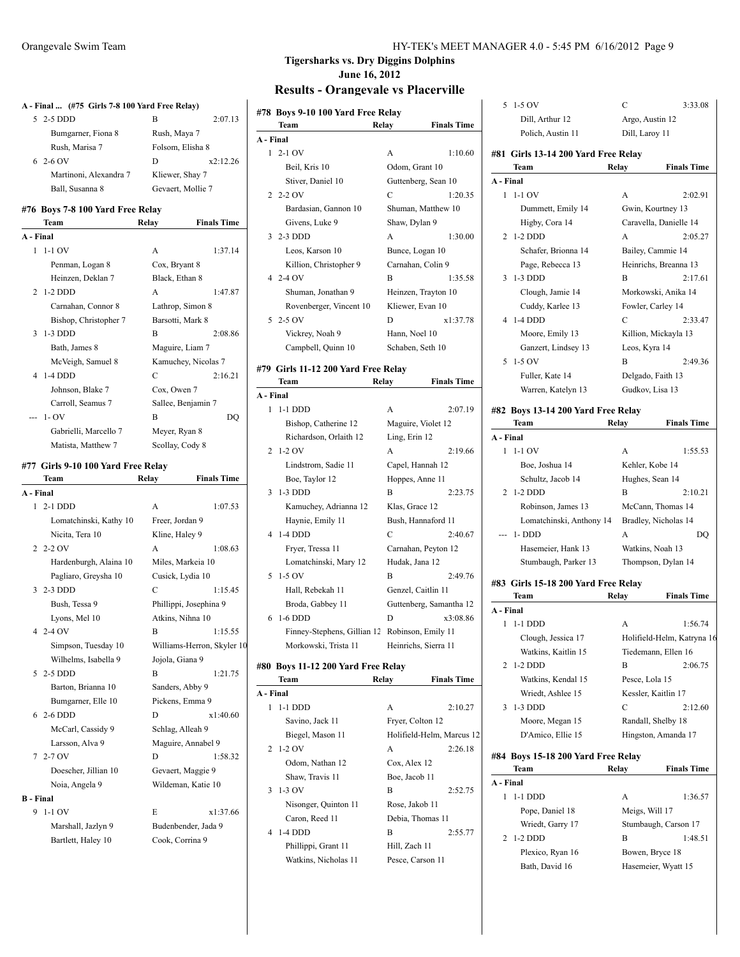|                  | A - Final  (#75 Girls 7-8 100 Yard Free Relay) |                        |                            |
|------------------|------------------------------------------------|------------------------|----------------------------|
| 5.               | 2-5 DDD                                        | В                      | 2:07.13                    |
|                  | Bumgarner, Fiona 8                             | Rush, Maya 7           |                            |
|                  | Rush, Marisa 7                                 | Folsom, Elisha 8       |                            |
|                  | $62-6$ OV                                      | D                      | x2:12.26                   |
|                  | Martinoni, Alexandra 7                         | Kliewer, Shay 7        |                            |
|                  | Ball, Susanna 8                                | Gevaert, Mollie 7      |                            |
|                  |                                                |                        |                            |
|                  | #76 Boys 7-8 100 Yard Free Relay               |                        |                            |
|                  | Team                                           | Relay                  | <b>Finals Time</b>         |
| A - Final        |                                                |                        |                            |
| 1                | $1-1$ OV                                       | A                      | 1:37.14                    |
|                  | Penman, Logan 8                                | Cox, Bryant 8          |                            |
|                  | Heinzen, Deklan 7                              | Black, Ethan 8         |                            |
| 2                | $1-2$ DDD                                      | A                      | 1:47.87                    |
|                  | Carnahan, Connor 8                             | Lathrop, Simon 8       |                            |
|                  | Bishop, Christopher 7                          | Barsotti, Mark 8       |                            |
| 3                | $1-3$ DDD                                      | B                      | 2:08.86                    |
|                  | Bath, James 8                                  | Maguire, Liam 7        |                            |
|                  | McVeigh, Samuel 8                              | Kamuchey, Nicolas 7    |                            |
| 4                | 1-4 DDD                                        | C                      | 2:16.21                    |
|                  | Johnson, Blake 7                               | Cox, Owen 7            |                            |
|                  | Carroll, Seamus 7                              | Sallee, Benjamin 7     |                            |
|                  | $1 - OV$                                       | В                      | DQ                         |
|                  | Gabrielli, Marcello 7                          | Meyer, Ryan 8          |                            |
|                  | Matista, Matthew 7                             | Scollay, Cody 8        |                            |
|                  | #77 Girls 9-10 100 Yard Free Relay             |                        |                            |
|                  | Team                                           | Relay                  | <b>Finals Time</b>         |
| A - Final        |                                                |                        |                            |
|                  | 1 2-1 DDD                                      | A                      | 1:07.53                    |
|                  | Lomatchinski, Kathy 10                         | Freer, Jordan 9        |                            |
|                  | Nicita, Tera 10                                | Kline, Haley 9         |                            |
|                  | $22-20V$                                       | A                      | 1:08.63                    |
|                  | Hardenburgh, Alaina 10                         | Miles, Markeia 10      |                            |
|                  | Pagliaro, Greysha 10                           | Cusick, Lydia 10       |                            |
| 3                | 2-3 DDD                                        | C                      | 1:15.45                    |
|                  | Bush, Tessa 9                                  | Phillippi, Josephina 9 |                            |
|                  | Lyons, Mel 10                                  | Atkins, Nihna 10       |                            |
|                  | 4 2-4 OV                                       | В                      | 1:15.55                    |
|                  | Simpson, Tuesday 10                            |                        | Williams-Herron, Skyler 10 |
|                  | Wilhelms, Isabella 9                           | Jojola, Giana 9        |                            |
|                  |                                                |                        | 1:21.75                    |
| 5                | 2-5 DDD                                        | B                      |                            |
|                  | Barton, Brianna 10                             | Sanders, Abby 9        |                            |
|                  | Bumgarner, Elle 10                             | Pickens, Emma 9        |                            |
| 6                | 2-6 DDD                                        | D                      | x1:40.60                   |
|                  | McCarl, Cassidy 9                              | Schlag, Alleah 9       |                            |
|                  | Larsson, Alva 9                                | Maguire, Annabel 9     |                            |
| 7                | $2-7$ OV                                       | D                      | 1:58.32                    |
|                  | Doescher, Jillian 10                           | Gevaert, Maggie 9      |                            |
|                  | Noia, Angela 9                                 | Wildeman, Katie 10     |                            |
| <b>B</b> - Final |                                                |                        |                            |
| 9                | 1-1 OV                                         | E                      | x1:37.66                   |
|                  | Marshall, Jazlyn 9                             | Budenbender, Jada 9    |                            |
|                  | Bartlett, Haley 10                             | Cook, Corrina 9        |                            |

|           | #78 Boys 9-10 100 Yard Free Relay<br>Team | Relay          | <b>Finals Time</b>        |
|-----------|-------------------------------------------|----------------|---------------------------|
| A - Final |                                           |                |                           |
| 1         | $2-1$ OV                                  | А              | 1:10.60                   |
|           | Beil, Kris 10                             |                | Odom, Grant 10            |
|           | Stiver, Daniel 10                         |                | Guttenberg, Sean 10       |
| 2         | $2-2$ OV                                  | C              | 1:20.35                   |
|           | Bardasian, Gannon 10                      |                | Shuman, Matthew 10        |
|           | Givens, Luke 9                            | Shaw, Dylan 9  |                           |
| 3         | 2-3 DDD                                   | A              | 1:30.00                   |
|           | Leos, Karson 10                           |                | Bunce, Logan 10           |
|           | Killion, Christopher 9                    |                | Carnahan, Colin 9         |
|           | $42-4$ OV                                 | B              | 1:35.58                   |
|           | Shuman, Jonathan 9                        |                | Heinzen, Trayton 10       |
|           | Rovenberger, Vincent 10                   |                | Kliewer, Evan 10          |
| 5         | $2-5$ OV                                  | D              | x1:37.78                  |
|           | Vickrey, Noah 9                           | Hann, Noel 10  |                           |
|           | Campbell, Quinn 10                        |                | Schaben, Seth 10          |
|           |                                           |                |                           |
|           | #79 Girls 11-12 200 Yard Free Relay       |                |                           |
|           | Team                                      | Relay          | <b>Finals Time</b>        |
| A - Final |                                           |                |                           |
| 1         | $1-1$ DDD                                 | A              | 2:07.19                   |
|           | Bishop, Catherine 12                      |                | Maguire, Violet 12        |
|           | Richardson, Orlaith 12                    | Ling, Erin 12  |                           |
| 2         | $1-2$ OV                                  | A              | 2:19.66                   |
|           | Lindstrom, Sadie 11                       |                | Capel, Hannah 12          |
|           | Boe, Taylor 12                            |                | Hoppes, Anne 11           |
| 3         | $1-3$ DDD                                 | B              | 2:23.75                   |
|           | Kamuchey, Adrianna 12                     | Klas, Grace 12 |                           |
|           | Haynie, Emily 11                          |                | Bush, Hannaford 11        |
| 4         | $1-4$ DDD                                 | C              | 2:40.67                   |
|           | Fryer, Tressa 11                          |                | Carnahan, Peyton 12       |
|           | Lomatchinski, Mary 12                     |                | Hudak, Jana 12            |
| 5         | 1-5 OV                                    | B              | 2:49.76                   |
|           | Hall, Rebekah 11                          |                | Genzel, Caitlin 11        |
|           | Broda, Gabbey 11                          |                | Guttenberg, Samantha 12   |
| 6         | 1-6 DDD                                   | D              | x3:08.86                  |
|           | Finney-Stephens, Gillian 12               |                | Robinson, Emily 11        |
|           | Morkowski, Trista 11                      |                | Heinrichs, Sierra 11      |
|           | #80 Boys 11-12 200 Yard Free Relay        |                |                           |
|           | Team                                      | Relay          | <b>Finals Time</b>        |
| A - Final |                                           |                |                           |
| 1         | 1-1 DDD                                   | А              | 2:10.27                   |
|           | Savino, Jack 11                           |                | Fryer, Colton 12          |
|           | Biegel, Mason 11                          |                | Holifield-Helm, Marcus 12 |
| 2         | $1-2$ OV                                  | A              | 2:26.18                   |
|           | Odom, Nathan 12                           | Cox, Alex 12   |                           |
|           | Shaw, Travis 11                           | Boe, Jacob 11  |                           |
| 3         | 1-3 OV                                    | B              | 2:52.75                   |
|           | Nisonger, Quinton 11                      | Rose, Jakob 11 |                           |
|           |                                           |                |                           |
| 4         | Caron, Reed 11                            |                | Debia, Thomas 11          |
|           | 1-4 DDD                                   | B              | 2:55.77                   |
|           | Phillippi, Grant 11                       | Hill, Zach 11  |                           |
|           | Watkins, Nicholas 11                      |                | Pesce, Carson 11          |
|           |                                           |                |                           |

|   |           | 5 1-5 OV                                      | С     | 3:33.08                    |
|---|-----------|-----------------------------------------------|-------|----------------------------|
|   |           | Dill, Arthur 12                               |       | Argo, Austin 12            |
|   |           | Polich, Austin 11                             |       | Dill, Laroy 11             |
|   |           |                                               |       |                            |
|   |           | #81 Girls 13-14 200 Yard Free Relay<br>Team   | Relay | <b>Finals Time</b>         |
|   | A - Final |                                               |       |                            |
|   |           | $1 - 1 - 1$ OV                                | A     | 2:02.91                    |
|   |           | Dummett, Emily 14                             |       | Gwin, Kourtney 13          |
|   |           | Higby, Cora 14                                |       | Caravella, Danielle 14     |
|   |           | 2 1-2 DDD                                     | A     | 2:05.27                    |
|   |           | Schafer, Brionna 14                           |       | Bailey, Cammie 14          |
|   |           | Page, Rebecca 13                              |       | Heinrichs, Breanna 13      |
|   |           | 3 1-3 DDD                                     | B     | 2:17.61                    |
|   |           | Clough, Jamie 14                              |       | Morkowski, Anika 14        |
|   |           | Cuddy, Karlee 13                              |       | Fowler, Carley 14          |
|   | 4         | 1-4 DDD                                       | C     | 2:33.47                    |
|   |           | Moore, Emily 13                               |       | Killion, Mickayla 13       |
|   |           | Ganzert, Lindsey 13                           |       | Leos, Kyra 14              |
|   |           | 5 1-5 OV                                      | B     | 2:49.36                    |
|   |           | Fuller, Kate 14                               |       | Delgado, Faith 13          |
|   |           | Warren, Katelyn 13                            |       | Gudkov, Lisa 13            |
|   |           |                                               |       |                            |
|   |           | #82 Boys 13-14 200 Yard Free Relay            |       |                            |
|   |           | Team                                          | Relay | <b>Finals Time</b>         |
|   | A - Final |                                               |       |                            |
|   |           | $1 - 1 - 1$ OV                                | A     | 1:55.53                    |
|   |           | Boe, Joshua 14                                |       | Kehler, Kobe 14            |
|   |           | Schultz, Jacob 14                             |       | Hughes, Sean 14            |
|   | 2         | $1-2$ DDD                                     | B     | 2:10.21                    |
|   |           | Robinson, James 13                            |       | McCann, Thomas 14          |
|   |           | Lomatchinski, Anthony 14 Bradley, Nicholas 14 |       |                            |
|   |           | --- 1-DDD                                     | A     | DQ                         |
|   |           | Hasemeier, Hank 13                            |       | Watkins, Noah 13           |
|   |           | Stumbaugh, Parker 13                          |       | Thompson, Dylan 14         |
|   |           | #83 Girls 15-18 200 Yard Free Relay           |       |                            |
|   |           | Team                                          | Relay | <b>Finals Time</b>         |
|   | A - Final |                                               |       |                            |
|   |           | 1 1-1 DDD                                     | А     | 1:56.74                    |
|   |           | Clough, Jessica 17                            |       | Holifield-Helm, Katryna 16 |
|   |           | Watkins, Kaitlin 15                           |       | Tiedemann, Ellen 16        |
|   | 2         | $1-2$ DDD                                     | B     | 2:06.75                    |
|   |           | Watkins, Kendal 15                            |       | Pesce, Lola 15             |
|   |           | Wriedt, Ashlee 15                             |       | Kessler, Kaitlin 17        |
|   | 3         | $1-3$ DDD                                     | C     | 2:12.60                    |
|   |           | Moore, Megan 15                               |       | Randall, Shelby 18         |
| 2 |           | D'Amico, Ellie 15                             |       | Hingston, Amanda 17        |
|   |           | #84 Boys 15-18 200 Yard Free Relay            |       |                            |
|   |           | Team                                          | Relay | <b>Finals Time</b>         |
|   | A - Final |                                               |       |                            |
|   | 1         | 1-1 DDD                                       | А     | 1:36.57                    |
|   |           | Pope, Daniel 18                               |       | Meigs, Will 17             |
|   |           | Wriedt, Garry 17                              |       | Stumbaugh, Carson 17       |
|   | 2         | $1-2$ DDD                                     | B     | 1:48.51                    |
|   |           | Plexico, Ryan 16                              |       | Bowen, Bryce 18            |
|   |           | Bath, David 16                                |       | Hasemeier, Wyatt 15        |
|   |           |                                               |       |                            |